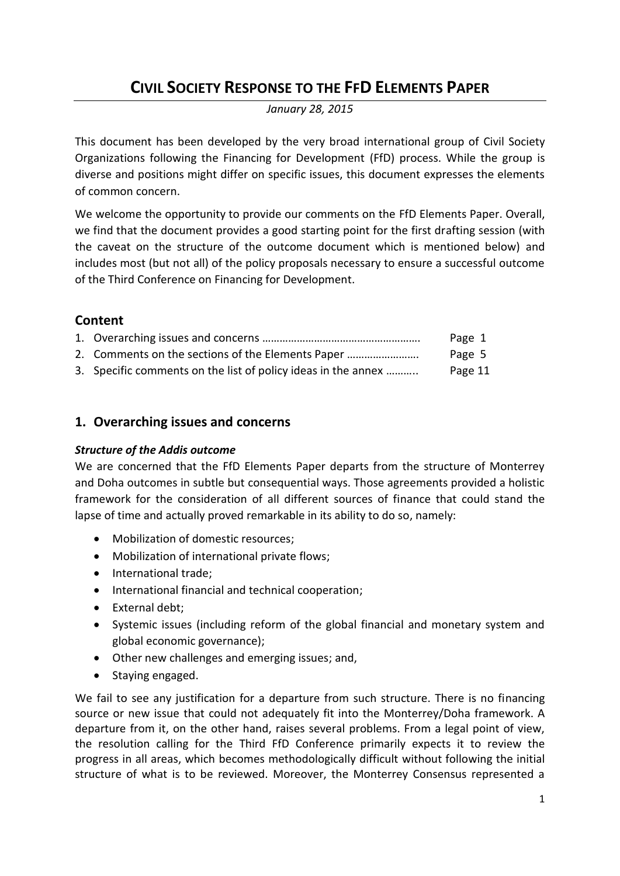# **CIVIL SOCIETY RESPONSE TO THE FFD ELEMENTS PAPER**

*January 28, 2015*

This document has been developed by the very broad international group of Civil Society Organizations following the Financing for Development (FfD) process. While the group is diverse and positions might differ on specific issues, this document expresses the elements of common concern.

We welcome the opportunity to provide our comments on the FfD Elements Paper. Overall, we find that the document provides a good starting point for the first drafting session (with the caveat on the structure of the outcome document which is mentioned below) and includes most (but not all) of the policy proposals necessary to ensure a successful outcome of the Third Conference on Financing for Development.

# **Content**

|                                                               | Page 1  |
|---------------------------------------------------------------|---------|
| 2. Comments on the sections of the Elements Paper             | Page 5  |
| 3. Specific comments on the list of policy ideas in the annex | Page 11 |

# **1. Overarching issues and concerns**

# *Structure of the Addis outcome*

We are concerned that the FfD Elements Paper departs from the structure of Monterrey and Doha outcomes in subtle but consequential ways. Those agreements provided a holistic framework for the consideration of all different sources of finance that could stand the lapse of time and actually proved remarkable in its ability to do so, namely:

- Mobilization of domestic resources;
- Mobilization of international private flows;
- International trade;
- $\bullet$  International financial and technical cooperation;
- External debt;
- Systemic issues (including reform of the global financial and monetary system and global economic governance);
- Other new challenges and emerging issues; and,
- Staying engaged.

We fail to see any justification for a departure from such structure. There is no financing source or new issue that could not adequately fit into the Monterrey/Doha framework. A departure from it, on the other hand, raises several problems. From a legal point of view, the resolution calling for the Third FfD Conference primarily expects it to review the progress in all areas, which becomes methodologically difficult without following the initial structure of what is to be reviewed. Moreover, the Monterrey Consensus represented a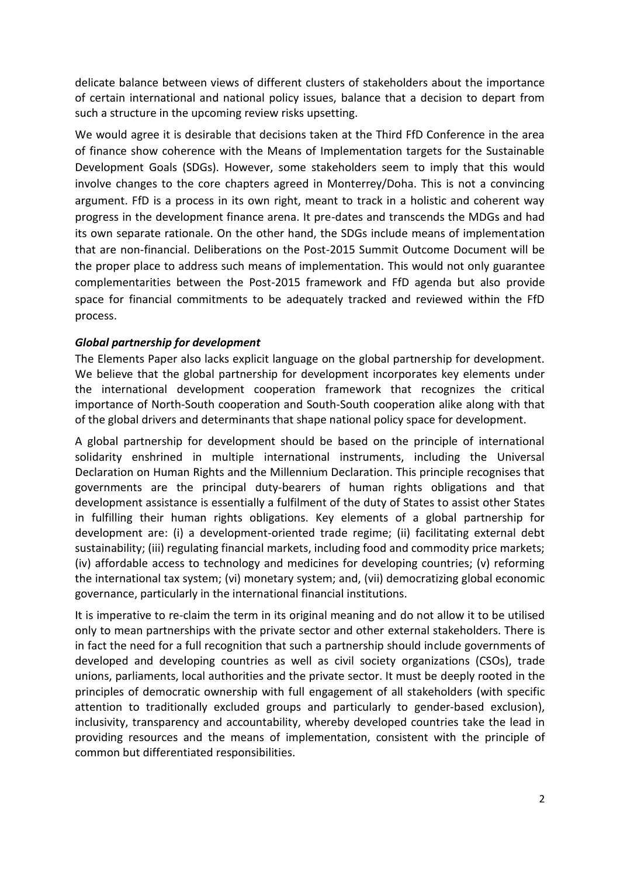delicate balance between views of different clusters of stakeholders about the importance of certain international and national policy issues, balance that a decision to depart from such a structure in the upcoming review risks upsetting.

We would agree it is desirable that decisions taken at the Third FfD Conference in the area of finance show coherence with the Means of Implementation targets for the Sustainable Development Goals (SDGs). However, some stakeholders seem to imply that this would involve changes to the core chapters agreed in Monterrey/Doha. This is not a convincing argument. FfD is a process in its own right, meant to track in a holistic and coherent way progress in the development finance arena. It pre-dates and transcends the MDGs and had its own separate rationale. On the other hand, the SDGs include means of implementation that are non-financial. Deliberations on the Post-2015 Summit Outcome Document will be the proper place to address such means of implementation. This would not only guarantee complementarities between the Post-2015 framework and FfD agenda but also provide space for financial commitments to be adequately tracked and reviewed within the FfD process.

# *Global partnership for development*

The Elements Paper also lacks explicit language on the global partnership for development. We believe that the global partnership for development incorporates key elements under the international development cooperation framework that recognizes the critical importance of North-South cooperation and South-South cooperation alike along with that of the global drivers and determinants that shape national policy space for development.

A global partnership for development should be based on the principle of international solidarity enshrined in multiple international instruments, including the Universal Declaration on Human Rights and the Millennium Declaration. This principle recognises that governments are the principal duty-bearers of human rights obligations and that development assistance is essentially a fulfilment of the duty of States to assist other States in fulfilling their human rights obligations. Key elements of a global partnership for development are: (i) a development-oriented trade regime; (ii) facilitating external debt sustainability; (iii) regulating financial markets, including food and commodity price markets; (iv) affordable access to technology and medicines for developing countries; (v) reforming the international tax system; (vi) monetary system; and, (vii) democratizing global economic governance, particularly in the international financial institutions.

It is imperative to re-claim the term in its original meaning and do not allow it to be utilised only to mean partnerships with the private sector and other external stakeholders. There is in fact the need for a full recognition that such a partnership should include governments of developed and developing countries as well as civil society organizations (CSOs), trade unions, parliaments, local authorities and the private sector. It must be deeply rooted in the principles of democratic ownership with full engagement of all stakeholders (with specific attention to traditionally excluded groups and particularly to gender-based exclusion), inclusivity, transparency and accountability, whereby developed countries take the lead in providing resources and the means of implementation, consistent with the principle of common but differentiated responsibilities.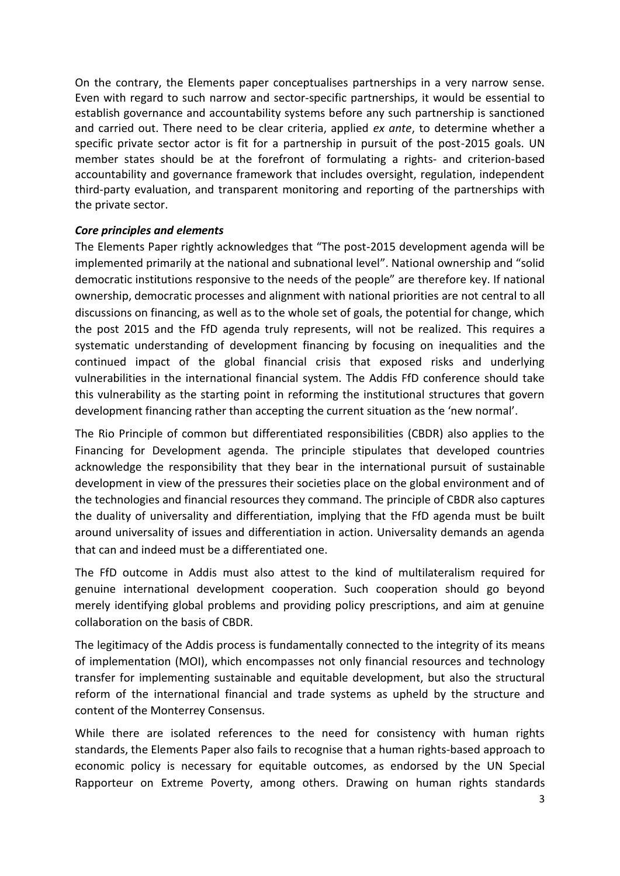On the contrary, the Elements paper conceptualises partnerships in a very narrow sense. Even with regard to such narrow and sector-specific partnerships, it would be essential to establish governance and accountability systems before any such partnership is sanctioned and carried out. There need to be clear criteria, applied *ex ante*, to determine whether a specific private sector actor is fit for a partnership in pursuit of the post-2015 goals. UN member states should be at the forefront of formulating a rights- and criterion-based accountability and governance framework that includes oversight, regulation, independent third-party evaluation, and transparent monitoring and reporting of the partnerships with the private sector.

### *Core principles and elements*

The Elements Paper rightly acknowledges that "The post-2015 development agenda will be implemented primarily at the national and subnational level". National ownership and "solid democratic institutions responsive to the needs of the people" are therefore key. If national ownership, democratic processes and alignment with national priorities are not central to all discussions on financing, as well as to the whole set of goals, the potential for change, which the post 2015 and the FfD agenda truly represents, will not be realized. This requires a systematic understanding of development financing by focusing on inequalities and the continued impact of the global financial crisis that exposed risks and underlying vulnerabilities in the international financial system. The Addis FfD conference should take this vulnerability as the starting point in reforming the institutional structures that govern development financing rather than accepting the current situation as the 'new normal'.

The Rio Principle of common but differentiated responsibilities (CBDR) also applies to the Financing for Development agenda. The principle stipulates that developed countries acknowledge the responsibility that they bear in the international pursuit of sustainable development in view of the pressures their societies place on the global environment and of the technologies and financial resources they command. The principle of CBDR also captures the duality of universality and differentiation, implying that the FfD agenda must be built around universality of issues and differentiation in action. Universality demands an agenda that can and indeed must be a differentiated one.

The FfD outcome in Addis must also attest to the kind of multilateralism required for genuine international development cooperation. Such cooperation should go beyond merely identifying global problems and providing policy prescriptions, and aim at genuine collaboration on the basis of CBDR.

The legitimacy of the Addis process is fundamentally connected to the integrity of its means of implementation (MOI), which encompasses not only financial resources and technology transfer for implementing sustainable and equitable development, but also the structural reform of the international financial and trade systems as upheld by the structure and content of the Monterrey Consensus.

While there are isolated references to the need for consistency with human rights standards, the Elements Paper also fails to recognise that a human rights-based approach to economic policy is necessary for equitable outcomes, as endorsed by the UN Special Rapporteur on Extreme Poverty, among others. Drawing on human rights standards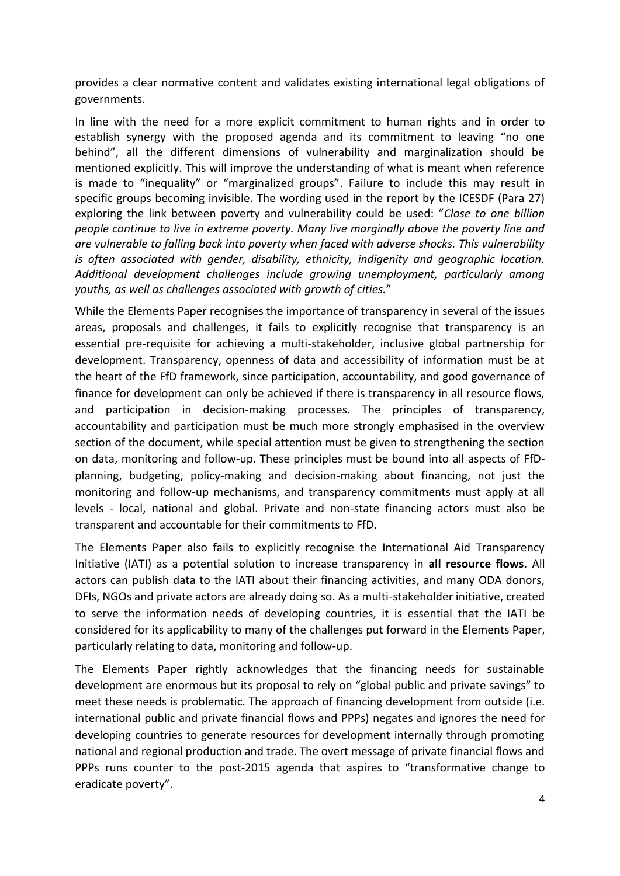provides a clear normative content and validates existing international legal obligations of governments.

In line with the need for a more explicit commitment to human rights and in order to establish synergy with the proposed agenda and its commitment to leaving "no one behind", all the different dimensions of vulnerability and marginalization should be mentioned explicitly. This will improve the understanding of what is meant when reference is made to "inequality" or "marginalized groups". Failure to include this may result in specific groups becoming invisible. The wording used in the report by the ICESDF (Para 27) exploring the link between poverty and vulnerability could be used: "*Close to one billion people continue to live in extreme poverty. Many live marginally above the poverty line and are vulnerable to falling back into poverty when faced with adverse shocks. This vulnerability is often associated with gender, disability, ethnicity, indigenity and geographic location. Additional development challenges include growing unemployment, particularly among youths, as well as challenges associated with growth of cities.*"

While the Elements Paper recognises the importance of transparency in several of the issues areas, proposals and challenges, it fails to explicitly recognise that transparency is an essential pre-requisite for achieving a multi-stakeholder, inclusive global partnership for development. Transparency, openness of data and accessibility of information must be at the heart of the FfD framework, since participation, accountability, and good governance of finance for development can only be achieved if there is transparency in all resource flows, and participation in decision-making processes. The principles of transparency, accountability and participation must be much more strongly emphasised in the overview section of the document, while special attention must be given to strengthening the section on data, monitoring and follow-up. These principles must be bound into all aspects of FfDplanning, budgeting, policy-making and decision-making about financing, not just the monitoring and follow-up mechanisms, and transparency commitments must apply at all levels - local, national and global. Private and non-state financing actors must also be transparent and accountable for their commitments to FfD.

The Elements Paper also fails to explicitly recognise the International Aid Transparency Initiative (IATI) as a potential solution to increase transparency in **all resource flows**. All actors can publish data to the IATI about their financing activities, and many ODA donors, DFIs, NGOs and private actors are already doing so. As a multi-stakeholder initiative, created to serve the information needs of developing countries, it is essential that the IATI be considered for its applicability to many of the challenges put forward in the Elements Paper, particularly relating to data, monitoring and follow-up.

The Elements Paper rightly acknowledges that the financing needs for sustainable development are enormous but its proposal to rely on "global public and private savings" to meet these needs is problematic. The approach of financing development from outside (i.e. international public and private financial flows and PPPs) negates and ignores the need for developing countries to generate resources for development internally through promoting national and regional production and trade. The overt message of private financial flows and PPPs runs counter to the post-2015 agenda that aspires to "transformative change to eradicate poverty".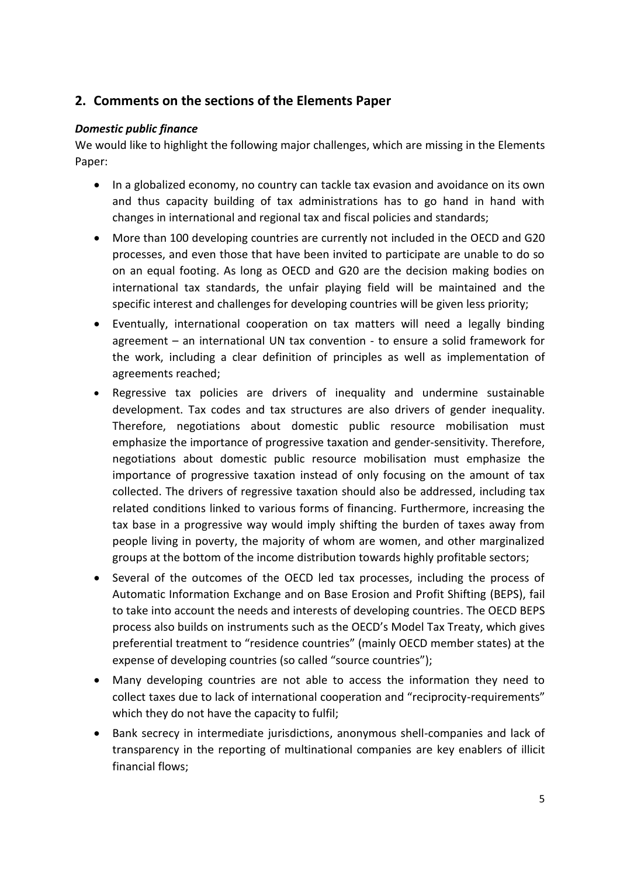# **2. Comments on the sections of the Elements Paper**

# *Domestic public finance*

We would like to highlight the following major challenges, which are missing in the Elements Paper:

- In a globalized economy, no country can tackle tax evasion and avoidance on its own and thus capacity building of tax administrations has to go hand in hand with changes in international and regional tax and fiscal policies and standards;
- More than 100 developing countries are currently not included in the OECD and G20 processes, and even those that have been invited to participate are unable to do so on an equal footing. As long as OECD and G20 are the decision making bodies on international tax standards, the unfair playing field will be maintained and the specific interest and challenges for developing countries will be given less priority;
- Eventually, international cooperation on tax matters will need a legally binding agreement – an international UN tax convention - to ensure a solid framework for the work, including a clear definition of principles as well as implementation of agreements reached;
- Regressive tax policies are drivers of inequality and undermine sustainable development. Tax codes and tax structures are also drivers of gender inequality. Therefore, negotiations about domestic public resource mobilisation must emphasize the importance of progressive taxation and gender-sensitivity. Therefore, negotiations about domestic public resource mobilisation must emphasize the importance of progressive taxation instead of only focusing on the amount of tax collected. The drivers of regressive taxation should also be addressed, including tax related conditions linked to various forms of financing. Furthermore, increasing the tax base in a progressive way would imply shifting the burden of taxes away from people living in poverty, the majority of whom are women, and other marginalized groups at the bottom of the income distribution towards highly profitable sectors;
- Several of the outcomes of the OECD led tax processes, including the process of Automatic Information Exchange and on Base Erosion and Profit Shifting (BEPS), fail to take into account the needs and interests of developing countries. The OECD BEPS process also builds on instruments such as the OECD's Model Tax Treaty, which gives preferential treatment to "residence countries" (mainly OECD member states) at the expense of developing countries (so called "source countries");
- Many developing countries are not able to access the information they need to collect taxes due to lack of international cooperation and "reciprocity-requirements" which they do not have the capacity to fulfil;
- Bank secrecy in intermediate jurisdictions, anonymous shell-companies and lack of transparency in the reporting of multinational companies are key enablers of illicit financial flows;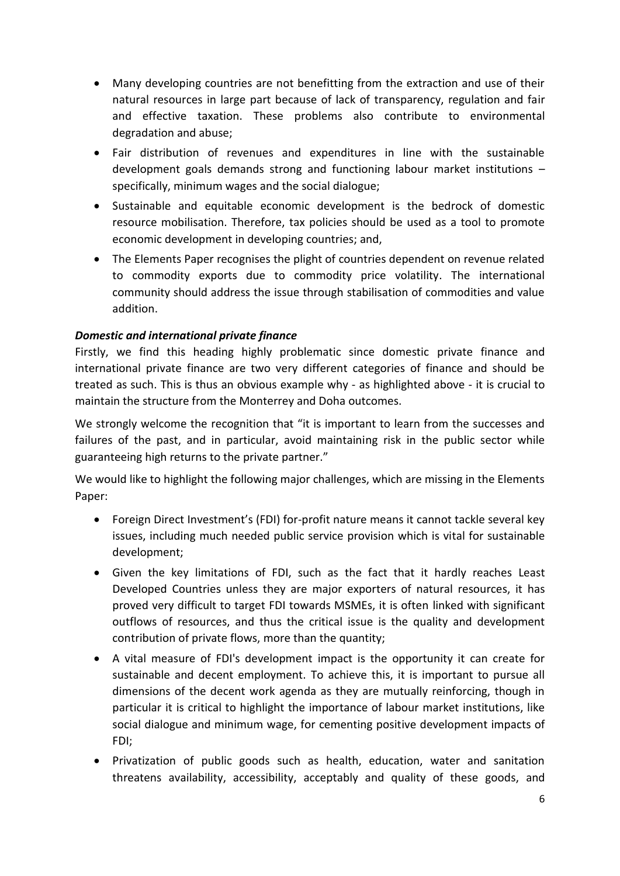- Many developing countries are not benefitting from the extraction and use of their natural resources in large part because of lack of transparency, regulation and fair and effective taxation. These problems also contribute to environmental degradation and abuse;
- Fair distribution of revenues and expenditures in line with the sustainable development goals demands strong and functioning labour market institutions – specifically, minimum wages and the social dialogue;
- Sustainable and equitable economic development is the bedrock of domestic resource mobilisation. Therefore, tax policies should be used as a tool to promote economic development in developing countries; and,
- The Elements Paper recognises the plight of countries dependent on revenue related to commodity exports due to commodity price volatility. The international community should address the issue through stabilisation of commodities and value addition.

# *Domestic and international private finance*

Firstly, we find this heading highly problematic since domestic private finance and international private finance are two very different categories of finance and should be treated as such. This is thus an obvious example why - as highlighted above - it is crucial to maintain the structure from the Monterrey and Doha outcomes.

We strongly welcome the recognition that "it is important to learn from the successes and failures of the past, and in particular, avoid maintaining risk in the public sector while guaranteeing high returns to the private partner."

We would like to highlight the following major challenges, which are missing in the Elements Paper:

- Foreign Direct Investment's (FDI) for-profit nature means it cannot tackle several key issues, including much needed public service provision which is vital for sustainable development;
- Given the key limitations of FDI, such as the fact that it hardly reaches Least Developed Countries unless they are major exporters of natural resources, it has proved very difficult to target FDI towards MSMEs, it is often linked with significant outflows of resources, and thus the critical issue is the quality and development contribution of private flows, more than the quantity;
- A vital measure of FDI's development impact is the opportunity it can create for sustainable and decent employment. To achieve this, it is important to pursue all dimensions of the decent work agenda as they are mutually reinforcing, though in particular it is critical to highlight the importance of labour market institutions, like social dialogue and minimum wage, for cementing positive development impacts of FDI;
- Privatization of public goods such as health, education, water and sanitation threatens availability, accessibility, acceptably and quality of these goods, and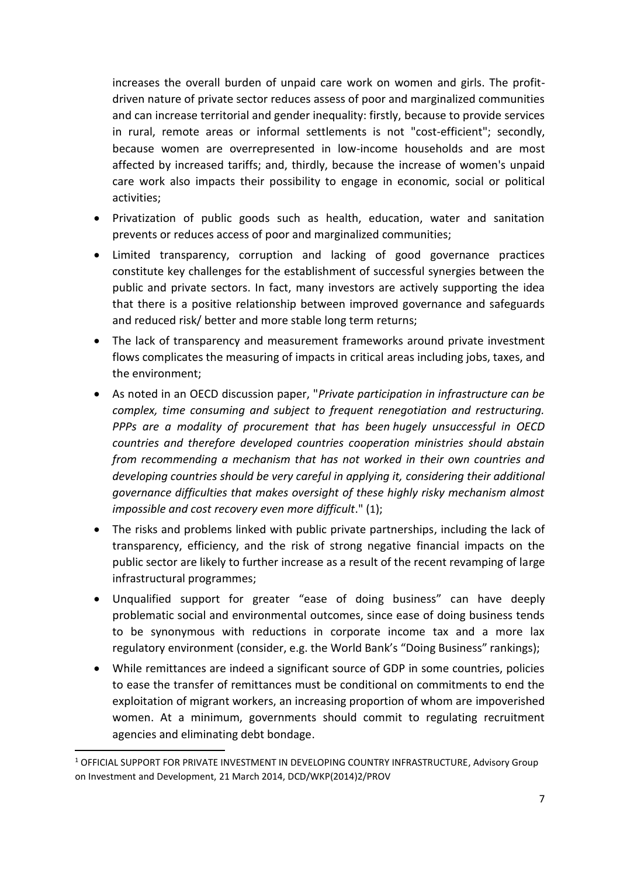increases the overall burden of unpaid care work on women and girls. The profitdriven nature of private sector reduces assess of poor and marginalized communities and can increase territorial and gender inequality: firstly, because to provide services in rural, remote areas or informal settlements is not "cost-efficient"; secondly, because women are overrepresented in low-income households and are most affected by increased tariffs; and, thirdly, because the increase of women's unpaid care work also impacts their possibility to engage in economic, social or political activities;

- Privatization of public goods such as health, education, water and sanitation prevents or reduces access of poor and marginalized communities;
- Limited transparency, corruption and lacking of good governance practices constitute key challenges for the establishment of successful synergies between the public and private sectors. In fact, many investors are actively supporting the idea that there is a positive relationship between improved governance and safeguards and reduced risk/ better and more stable long term returns;
- The lack of transparency and measurement frameworks around private investment flows complicates the measuring of impacts in critical areas including jobs, taxes, and the environment;
- As noted in an OECD discussion paper, "*Private participation in infrastructure can be complex, time consuming and subject to frequent renegotiation and restructuring. PPPs are a modality of procurement that has been hugely unsuccessful in OECD countries and therefore developed countries cooperation ministries should abstain from recommending a mechanism that has not worked in their own countries and developing countries should be very careful in applying it, considering their additional governance difficulties that makes oversight of these highly risky mechanism almost impossible and cost recovery even more difficult*." (1);
- The risks and problems linked with public private partnerships, including the lack of transparency, efficiency, and the risk of strong negative financial impacts on the public sector are likely to further increase as a result of the recent revamping of large infrastructural programmes;
- Unqualified support for greater "ease of doing business" can have deeply problematic social and environmental outcomes, since ease of doing business tends to be synonymous with reductions in corporate income tax and a more lax regulatory environment (consider, e.g. the World Bank's "Doing Business" rankings);
- While remittances are indeed a significant source of GDP in some countries, policies to ease the transfer of remittances must be conditional on commitments to end the exploitation of migrant workers, an increasing proportion of whom are impoverished women. At a minimum, governments should commit to regulating recruitment agencies and eliminating debt bondage.

**.** 

<sup>1</sup> OFFICIAL SUPPORT FOR PRIVATE INVESTMENT IN DEVELOPING COUNTRY INFRASTRUCTURE, Advisory Group on Investment and Development, 21 March 2014, DCD/WKP(2014)2/PROV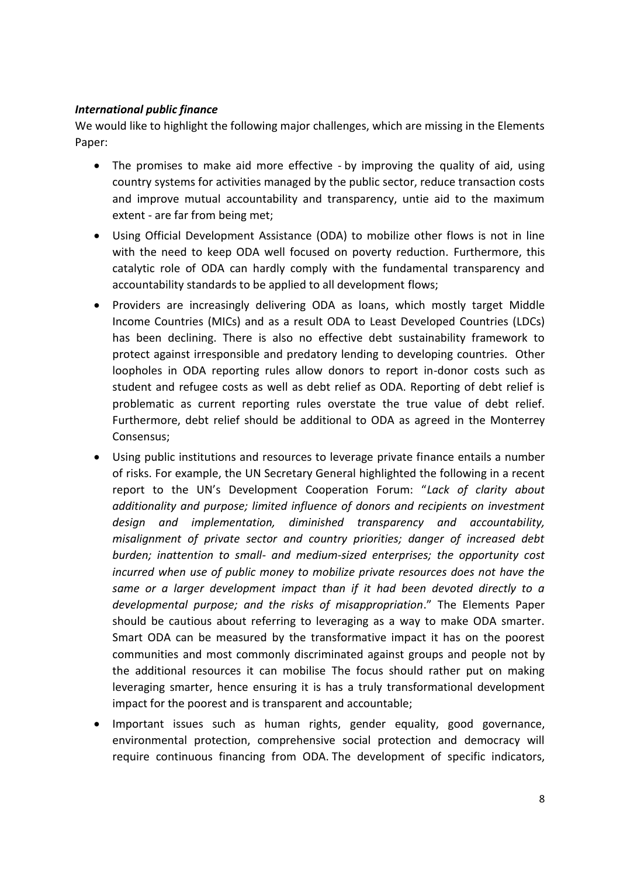# *International public finance*

We would like to highlight the following major challenges, which are missing in the Elements Paper:

- The promises to make aid more effective by improving the quality of aid, using country systems for activities managed by the public sector, reduce transaction costs and improve mutual accountability and transparency, untie aid to the maximum extent - are far from being met;
- Using Official Development Assistance (ODA) to mobilize other flows is not in line with the need to keep ODA well focused on poverty reduction. Furthermore, this catalytic role of ODA can hardly comply with the fundamental transparency and accountability standards to be applied to all development flows;
- Providers are increasingly delivering ODA as loans, which mostly target Middle Income Countries (MICs) and as a result ODA to Least Developed Countries (LDCs) has been declining. There is also no effective debt sustainability framework to protect against irresponsible and predatory lending to developing countries. Other loopholes in ODA reporting rules allow donors to report in-donor costs such as student and refugee costs as well as debt relief as ODA. Reporting of debt relief is problematic as current reporting rules overstate the true value of debt relief. Furthermore, debt relief should be additional to ODA as agreed in the Monterrey Consensus;
- Using public institutions and resources to leverage private finance entails a number of risks. For example, the UN Secretary General highlighted the following in a recent report to the UN's Development Cooperation Forum: "*Lack of clarity about additionality and purpose; limited influence of donors and recipients on investment design and implementation, diminished transparency and accountability, misalignment of private sector and country priorities; danger of increased debt burden; inattention to small- and medium-sized enterprises; the opportunity cost incurred when use of public money to mobilize private resources does not have the same or a larger development impact than if it had been devoted directly to a developmental purpose; and the risks of misappropriation*." The Elements Paper should be cautious about referring to leveraging as a way to make ODA smarter. Smart ODA can be measured by the transformative impact it has on the poorest communities and most commonly discriminated against groups and people not by the additional resources it can mobilise The focus should rather put on making leveraging smarter, hence ensuring it is has a truly transformational development impact for the poorest and is transparent and accountable;
- Important issues such as human rights, gender equality, good governance, environmental protection, comprehensive social protection and democracy will require continuous financing from ODA. The development of specific indicators,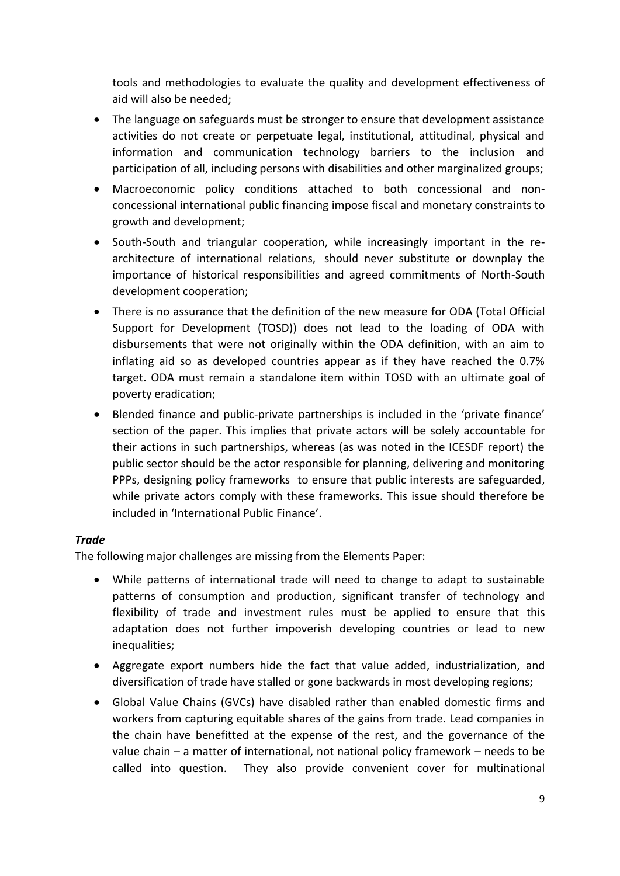tools and methodologies to evaluate the quality and development effectiveness of aid will also be needed;

- The language on safeguards must be stronger to ensure that development assistance activities do not create or perpetuate legal, institutional, attitudinal, physical and information and communication technology barriers to the inclusion and participation of all, including persons with disabilities and other marginalized groups;
- Macroeconomic policy conditions attached to both concessional and nonconcessional international public financing impose fiscal and monetary constraints to growth and development;
- South-South and triangular cooperation, while increasingly important in the rearchitecture of international relations, should never substitute or downplay the importance of historical responsibilities and agreed commitments of North-South development cooperation;
- There is no assurance that the definition of the new measure for ODA (Total Official Support for Development (TOSD)) does not lead to the loading of ODA with disbursements that were not originally within the ODA definition, with an aim to inflating aid so as developed countries appear as if they have reached the 0.7% target. ODA must remain a standalone item within TOSD with an ultimate goal of poverty eradication;
- Blended finance and public-private partnerships is included in the 'private finance' section of the paper. This implies that private actors will be solely accountable for their actions in such partnerships, whereas (as was noted in the ICESDF report) the public sector should be the actor responsible for planning, delivering and monitoring PPPs, designing policy frameworks to ensure that public interests are safeguarded, while private actors comply with these frameworks. This issue should therefore be included in 'International Public Finance'.

# *Trade*

The following major challenges are missing from the Elements Paper:

- While patterns of international trade will need to change to adapt to sustainable patterns of consumption and production, significant transfer of technology and flexibility of trade and investment rules must be applied to ensure that this adaptation does not further impoverish developing countries or lead to new inequalities:
- Aggregate export numbers hide the fact that value added, industrialization, and diversification of trade have stalled or gone backwards in most developing regions;
- Global Value Chains (GVCs) have disabled rather than enabled domestic firms and workers from capturing equitable shares of the gains from trade. Lead companies in the chain have benefitted at the expense of the rest, and the governance of the value chain – a matter of international, not national policy framework – needs to be called into question. They also provide convenient cover for multinational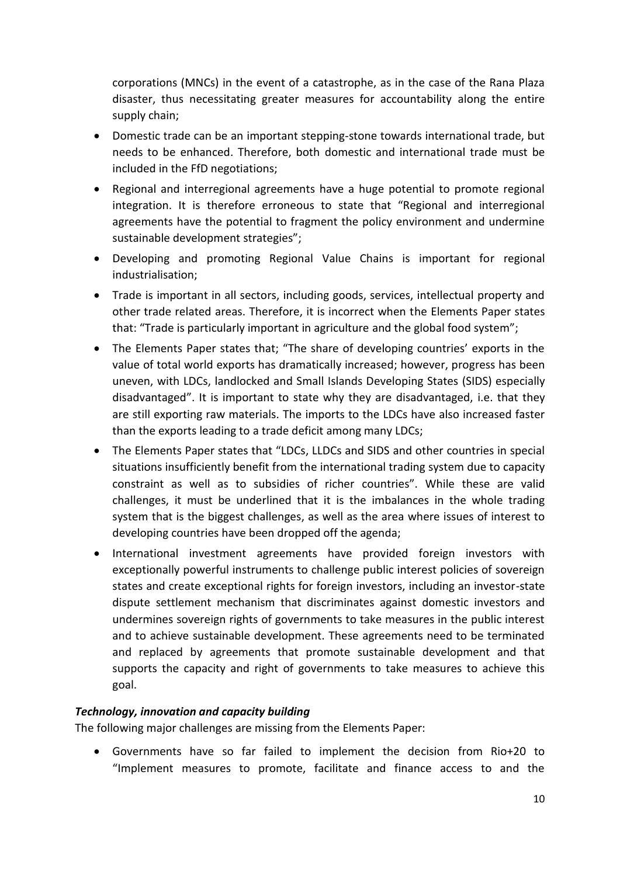corporations (MNCs) in the event of a catastrophe, as in the case of the Rana Plaza disaster, thus necessitating greater measures for accountability along the entire supply chain;

- Domestic trade can be an important stepping-stone towards international trade, but needs to be enhanced. Therefore, both domestic and international trade must be included in the FfD negotiations;
- Regional and interregional agreements have a huge potential to promote regional integration. It is therefore erroneous to state that "Regional and interregional agreements have the potential to fragment the policy environment and undermine sustainable development strategies";
- Developing and promoting Regional Value Chains is important for regional industrialisation;
- Trade is important in all sectors, including goods, services, intellectual property and other trade related areas. Therefore, it is incorrect when the Elements Paper states that: "Trade is particularly important in agriculture and the global food system";
- The Elements Paper states that; "The share of developing countries' exports in the value of total world exports has dramatically increased; however, progress has been uneven, with LDCs, landlocked and Small Islands Developing States (SIDS) especially disadvantaged". It is important to state why they are disadvantaged, i.e. that they are still exporting raw materials. The imports to the LDCs have also increased faster than the exports leading to a trade deficit among many LDCs;
- The Elements Paper states that "LDCs, LLDCs and SIDS and other countries in special situations insufficiently benefit from the international trading system due to capacity constraint as well as to subsidies of richer countries". While these are valid challenges, it must be underlined that it is the imbalances in the whole trading system that is the biggest challenges, as well as the area where issues of interest to developing countries have been dropped off the agenda;
- International investment agreements have provided foreign investors with exceptionally powerful instruments to challenge public interest policies of sovereign states and create exceptional rights for foreign investors, including an investor-state dispute settlement mechanism that discriminates against domestic investors and undermines sovereign rights of governments to take measures in the public interest and to achieve sustainable development. These agreements need to be terminated and replaced by agreements that promote sustainable development and that supports the capacity and right of governments to take measures to achieve this goal.

# *Technology, innovation and capacity building*

The following major challenges are missing from the Elements Paper:

 Governments have so far failed to implement the decision from Rio+20 to "Implement measures to promote, facilitate and finance access to and the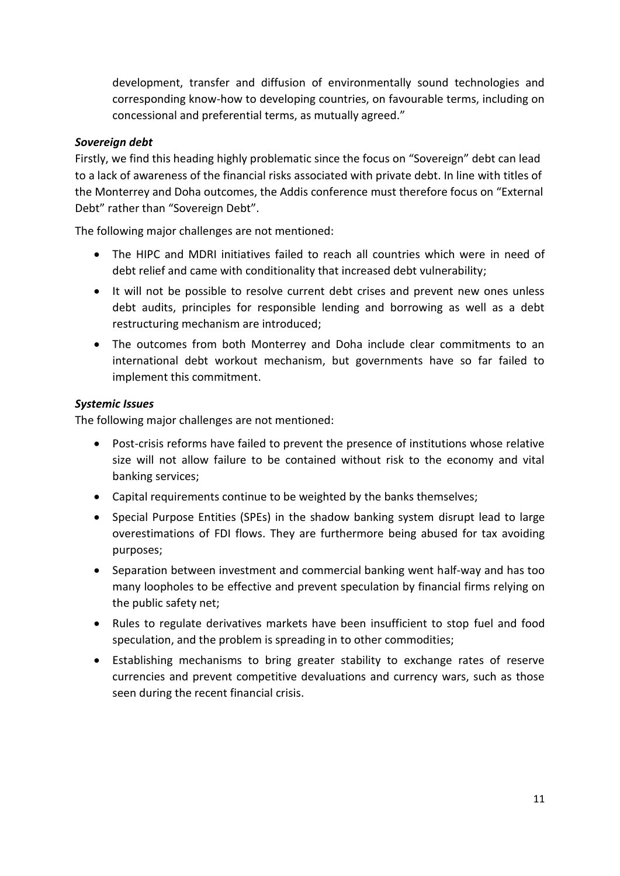development, transfer and diffusion of environmentally sound technologies and corresponding know-how to developing countries, on favourable terms, including on concessional and preferential terms, as mutually agreed."

## *Sovereign debt*

Firstly, we find this heading highly problematic since the focus on "Sovereign" debt can lead to a lack of awareness of the financial risks associated with private debt. In line with titles of the Monterrey and Doha outcomes, the Addis conference must therefore focus on "External Debt" rather than "Sovereign Debt".

The following major challenges are not mentioned:

- The HIPC and MDRI initiatives failed to reach all countries which were in need of debt relief and came with conditionality that increased debt vulnerability;
- It will not be possible to resolve current debt crises and prevent new ones unless debt audits, principles for responsible lending and borrowing as well as a debt restructuring mechanism are introduced;
- The outcomes from both Monterrey and Doha include clear commitments to an international debt workout mechanism, but governments have so far failed to implement this commitment.

### *Systemic Issues*

The following major challenges are not mentioned:

- Post-crisis reforms have failed to prevent the presence of institutions whose relative size will not allow failure to be contained without risk to the economy and vital banking services;
- Capital requirements continue to be weighted by the banks themselves;
- Special Purpose Entities (SPEs) in the shadow banking system disrupt lead to large overestimations of FDI flows. They are furthermore being abused for tax avoiding purposes;
- Separation between investment and commercial banking went half-way and has too many loopholes to be effective and prevent speculation by financial firms relying on the public safety net;
- Rules to regulate derivatives markets have been insufficient to stop fuel and food speculation, and the problem is spreading in to other commodities;
- Establishing mechanisms to bring greater stability to exchange rates of reserve currencies and prevent competitive devaluations and currency wars, such as those seen during the recent financial crisis.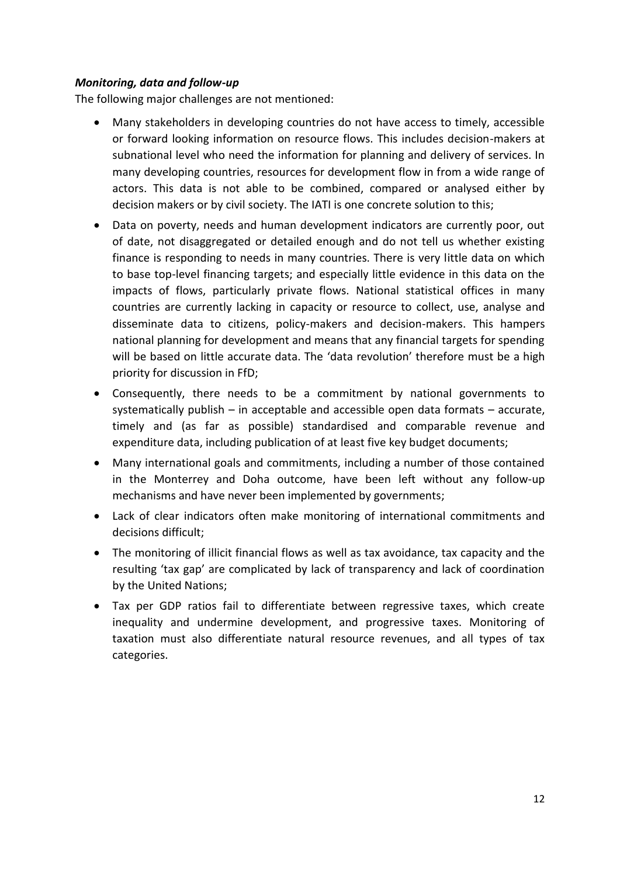## *Monitoring, data and follow-up*

The following major challenges are not mentioned:

- Many stakeholders in developing countries do not have access to timely, accessible or forward looking information on resource flows. This includes decision-makers at subnational level who need the information for planning and delivery of services. In many developing countries, resources for development flow in from a wide range of actors. This data is not able to be combined, compared or analysed either by decision makers or by civil society. The IATI is one concrete solution to this;
- Data on poverty, needs and human development indicators are currently poor, out of date, not disaggregated or detailed enough and do not tell us whether existing finance is responding to needs in many countries. There is very little data on which to base top-level financing targets; and especially little evidence in this data on the impacts of flows, particularly private flows. National statistical offices in many countries are currently lacking in capacity or resource to collect, use, analyse and disseminate data to citizens, policy-makers and decision-makers. This hampers national planning for development and means that any financial targets for spending will be based on little accurate data. The 'data revolution' therefore must be a high priority for discussion in FfD;
- Consequently, there needs to be a commitment by national governments to systematically publish – in acceptable and accessible open data formats – accurate, timely and (as far as possible) standardised and comparable revenue and expenditure data, including publication of at least five key budget documents;
- Many international goals and commitments, including a number of those contained in the Monterrey and Doha outcome, have been left without any follow-up mechanisms and have never been implemented by governments;
- Lack of clear indicators often make monitoring of international commitments and decisions difficult;
- The monitoring of illicit financial flows as well as tax avoidance, tax capacity and the resulting 'tax gap' are complicated by lack of transparency and lack of coordination by the United Nations;
- Tax per GDP ratios fail to differentiate between regressive taxes, which create inequality and undermine development, and progressive taxes. Monitoring of taxation must also differentiate natural resource revenues, and all types of tax categories.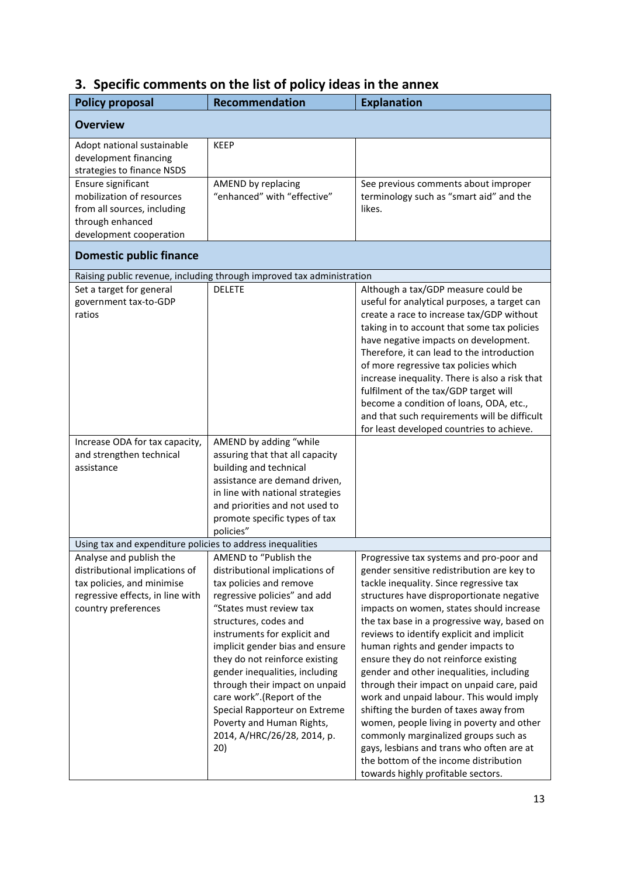|  |  | 3. Specific comments on the list of policy ideas in the annex |  |  |  |  |  |  |  |  |  |  |
|--|--|---------------------------------------------------------------|--|--|--|--|--|--|--|--|--|--|
|--|--|---------------------------------------------------------------|--|--|--|--|--|--|--|--|--|--|

| <b>Policy proposal</b>                                                                                                                             | <b>Recommendation</b>                                                                                                                                                                                                                                                                                                                                                                                                                                                            | <b>Explanation</b>                                                                                                                                                                                                                                                                                                                                                                                                                                                                                                                                                                                                                                                                                                                                                                                    |
|----------------------------------------------------------------------------------------------------------------------------------------------------|----------------------------------------------------------------------------------------------------------------------------------------------------------------------------------------------------------------------------------------------------------------------------------------------------------------------------------------------------------------------------------------------------------------------------------------------------------------------------------|-------------------------------------------------------------------------------------------------------------------------------------------------------------------------------------------------------------------------------------------------------------------------------------------------------------------------------------------------------------------------------------------------------------------------------------------------------------------------------------------------------------------------------------------------------------------------------------------------------------------------------------------------------------------------------------------------------------------------------------------------------------------------------------------------------|
| <b>Overview</b>                                                                                                                                    |                                                                                                                                                                                                                                                                                                                                                                                                                                                                                  |                                                                                                                                                                                                                                                                                                                                                                                                                                                                                                                                                                                                                                                                                                                                                                                                       |
| Adopt national sustainable<br>development financing<br>strategies to finance NSDS                                                                  | <b>KEEP</b>                                                                                                                                                                                                                                                                                                                                                                                                                                                                      |                                                                                                                                                                                                                                                                                                                                                                                                                                                                                                                                                                                                                                                                                                                                                                                                       |
| Ensure significant<br>mobilization of resources<br>from all sources, including<br>through enhanced<br>development cooperation                      | AMEND by replacing<br>"enhanced" with "effective"                                                                                                                                                                                                                                                                                                                                                                                                                                | See previous comments about improper<br>terminology such as "smart aid" and the<br>likes.                                                                                                                                                                                                                                                                                                                                                                                                                                                                                                                                                                                                                                                                                                             |
| <b>Domestic public finance</b>                                                                                                                     |                                                                                                                                                                                                                                                                                                                                                                                                                                                                                  |                                                                                                                                                                                                                                                                                                                                                                                                                                                                                                                                                                                                                                                                                                                                                                                                       |
|                                                                                                                                                    | Raising public revenue, including through improved tax administration                                                                                                                                                                                                                                                                                                                                                                                                            |                                                                                                                                                                                                                                                                                                                                                                                                                                                                                                                                                                                                                                                                                                                                                                                                       |
| Set a target for general<br>government tax-to-GDP<br>ratios                                                                                        | <b>DELETE</b>                                                                                                                                                                                                                                                                                                                                                                                                                                                                    | Although a tax/GDP measure could be<br>useful for analytical purposes, a target can<br>create a race to increase tax/GDP without<br>taking in to account that some tax policies<br>have negative impacts on development.<br>Therefore, it can lead to the introduction<br>of more regressive tax policies which<br>increase inequality. There is also a risk that<br>fulfilment of the tax/GDP target will<br>become a condition of loans, ODA, etc.,<br>and that such requirements will be difficult<br>for least developed countries to achieve.                                                                                                                                                                                                                                                    |
| Increase ODA for tax capacity,<br>and strengthen technical<br>assistance                                                                           | AMEND by adding "while<br>assuring that that all capacity<br>building and technical<br>assistance are demand driven,<br>in line with national strategies<br>and priorities and not used to<br>promote specific types of tax<br>policies"                                                                                                                                                                                                                                         |                                                                                                                                                                                                                                                                                                                                                                                                                                                                                                                                                                                                                                                                                                                                                                                                       |
| Using tax and expenditure policies to address inequalities                                                                                         |                                                                                                                                                                                                                                                                                                                                                                                                                                                                                  |                                                                                                                                                                                                                                                                                                                                                                                                                                                                                                                                                                                                                                                                                                                                                                                                       |
| Analyse and publish the<br>distributional implications of<br>tax policies, and minimise<br>regressive effects, in line with<br>country preferences | AMEND to "Publish the<br>distributional implications of<br>tax policies and remove<br>regressive policies" and add<br>"States must review tax<br>structures, codes and<br>instruments for explicit and<br>implicit gender bias and ensure<br>they do not reinforce existing<br>gender inequalities, including<br>through their impact on unpaid<br>care work".(Report of the<br>Special Rapporteur on Extreme<br>Poverty and Human Rights,<br>2014, A/HRC/26/28, 2014, p.<br>20) | Progressive tax systems and pro-poor and<br>gender sensitive redistribution are key to<br>tackle inequality. Since regressive tax<br>structures have disproportionate negative<br>impacts on women, states should increase<br>the tax base in a progressive way, based on<br>reviews to identify explicit and implicit<br>human rights and gender impacts to<br>ensure they do not reinforce existing<br>gender and other inequalities, including<br>through their impact on unpaid care, paid<br>work and unpaid labour. This would imply<br>shifting the burden of taxes away from<br>women, people living in poverty and other<br>commonly marginalized groups such as<br>gays, lesbians and trans who often are at<br>the bottom of the income distribution<br>towards highly profitable sectors. |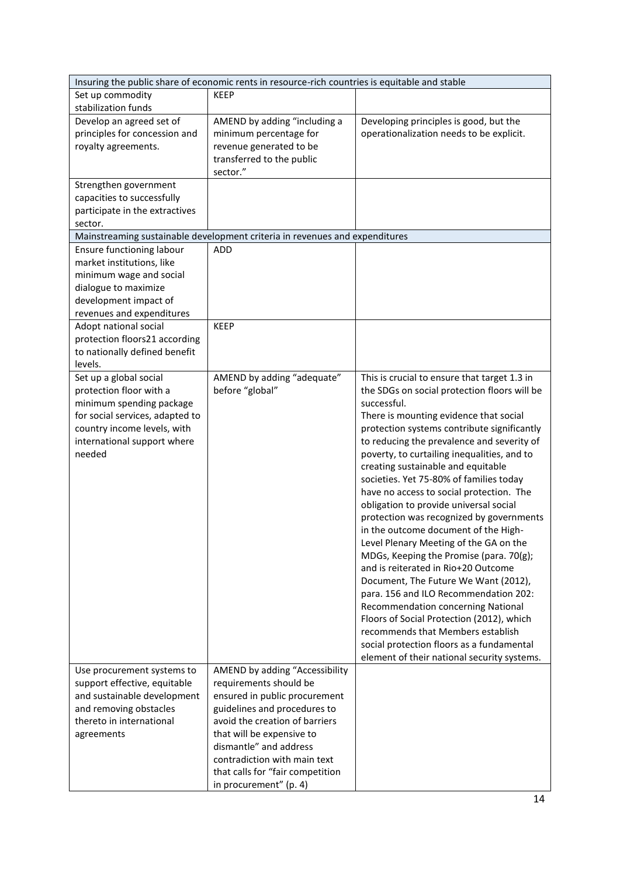|                                 | Insuring the public share of economic rents in resource-rich countries is equitable and stable |                                                                                |
|---------------------------------|------------------------------------------------------------------------------------------------|--------------------------------------------------------------------------------|
| Set up commodity                | <b>KEEP</b>                                                                                    |                                                                                |
| stabilization funds             |                                                                                                |                                                                                |
| Develop an agreed set of        | AMEND by adding "including a                                                                   | Developing principles is good, but the                                         |
| principles for concession and   | minimum percentage for                                                                         | operationalization needs to be explicit.                                       |
| royalty agreements.             | revenue generated to be                                                                        |                                                                                |
|                                 | transferred to the public                                                                      |                                                                                |
|                                 | sector."                                                                                       |                                                                                |
| Strengthen government           |                                                                                                |                                                                                |
| capacities to successfully      |                                                                                                |                                                                                |
| participate in the extractives  |                                                                                                |                                                                                |
| sector.                         |                                                                                                |                                                                                |
|                                 | Mainstreaming sustainable development criteria in revenues and expenditures                    |                                                                                |
| Ensure functioning labour       | ADD                                                                                            |                                                                                |
| market institutions, like       |                                                                                                |                                                                                |
| minimum wage and social         |                                                                                                |                                                                                |
| dialogue to maximize            |                                                                                                |                                                                                |
| development impact of           |                                                                                                |                                                                                |
| revenues and expenditures       |                                                                                                |                                                                                |
| Adopt national social           | <b>KEEP</b>                                                                                    |                                                                                |
| protection floors21 according   |                                                                                                |                                                                                |
| to nationally defined benefit   |                                                                                                |                                                                                |
| levels.                         |                                                                                                |                                                                                |
| Set up a global social          | AMEND by adding "adequate"                                                                     | This is crucial to ensure that target 1.3 in                                   |
| protection floor with a         | before "global"                                                                                | the SDGs on social protection floors will be                                   |
| minimum spending package        |                                                                                                | successful.                                                                    |
| for social services, adapted to |                                                                                                | There is mounting evidence that social                                         |
| country income levels, with     |                                                                                                | protection systems contribute significantly                                    |
| international support where     |                                                                                                | to reducing the prevalence and severity of                                     |
| needed                          |                                                                                                | poverty, to curtailing inequalities, and to                                    |
|                                 |                                                                                                | creating sustainable and equitable                                             |
|                                 |                                                                                                | societies. Yet 75-80% of families today                                        |
|                                 |                                                                                                | have no access to social protection. The                                       |
|                                 |                                                                                                | obligation to provide universal social                                         |
|                                 |                                                                                                | protection was recognized by governments                                       |
|                                 |                                                                                                | in the outcome document of the High-                                           |
|                                 |                                                                                                | Level Plenary Meeting of the GA on the                                         |
|                                 |                                                                                                | MDGs, Keeping the Promise (para. 70(g);                                        |
|                                 |                                                                                                | and is reiterated in Rio+20 Outcome                                            |
|                                 |                                                                                                | Document, The Future We Want (2012),                                           |
|                                 |                                                                                                |                                                                                |
|                                 |                                                                                                | para. 156 and ILO Recommendation 202:                                          |
|                                 |                                                                                                | Recommendation concerning National                                             |
|                                 |                                                                                                | Floors of Social Protection (2012), which<br>recommends that Members establish |
|                                 |                                                                                                |                                                                                |
|                                 |                                                                                                | social protection floors as a fundamental                                      |
|                                 |                                                                                                | element of their national security systems.                                    |
| Use procurement systems to      | AMEND by adding "Accessibility                                                                 |                                                                                |
| support effective, equitable    | requirements should be                                                                         |                                                                                |
| and sustainable development     | ensured in public procurement                                                                  |                                                                                |
| and removing obstacles          | guidelines and procedures to                                                                   |                                                                                |
| thereto in international        | avoid the creation of barriers                                                                 |                                                                                |
| agreements                      | that will be expensive to<br>dismantle" and address                                            |                                                                                |
|                                 |                                                                                                |                                                                                |
|                                 | contradiction with main text                                                                   |                                                                                |
|                                 | that calls for "fair competition                                                               |                                                                                |
|                                 | in procurement" (p. 4)                                                                         |                                                                                |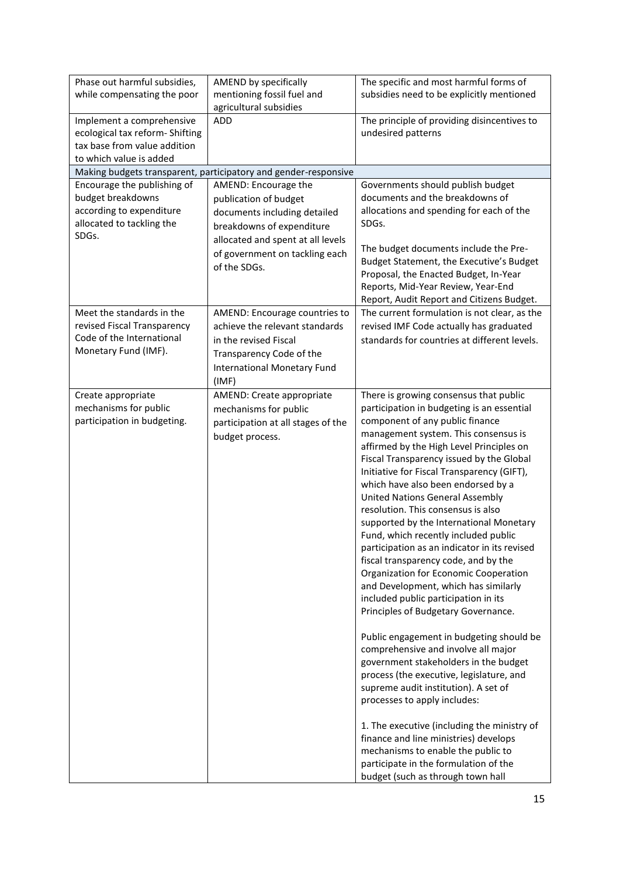| Phase out harmful subsidies,    | AMEND by specifically                                           | The specific and most harmful forms of       |
|---------------------------------|-----------------------------------------------------------------|----------------------------------------------|
| while compensating the poor     | mentioning fossil fuel and                                      | subsidies need to be explicitly mentioned    |
|                                 | agricultural subsidies                                          |                                              |
| Implement a comprehensive       | <b>ADD</b>                                                      | The principle of providing disincentives to  |
| ecological tax reform- Shifting |                                                                 | undesired patterns                           |
| tax base from value addition    |                                                                 |                                              |
| to which value is added         |                                                                 |                                              |
|                                 |                                                                 |                                              |
|                                 | Making budgets transparent, participatory and gender-responsive |                                              |
| Encourage the publishing of     | AMEND: Encourage the                                            | Governments should publish budget            |
| budget breakdowns               | publication of budget                                           | documents and the breakdowns of              |
| according to expenditure        | documents including detailed                                    | allocations and spending for each of the     |
| allocated to tackling the       | breakdowns of expenditure                                       | SDGs.                                        |
| SDGs.                           | allocated and spent at all levels                               |                                              |
|                                 |                                                                 | The budget documents include the Pre-        |
|                                 | of government on tackling each                                  | Budget Statement, the Executive's Budget     |
|                                 | of the SDGs.                                                    | Proposal, the Enacted Budget, In-Year        |
|                                 |                                                                 | Reports, Mid-Year Review, Year-End           |
|                                 |                                                                 | Report, Audit Report and Citizens Budget.    |
|                                 |                                                                 |                                              |
| Meet the standards in the       | AMEND: Encourage countries to                                   | The current formulation is not clear, as the |
| revised Fiscal Transparency     | achieve the relevant standards                                  | revised IMF Code actually has graduated      |
| Code of the International       | in the revised Fiscal                                           | standards for countries at different levels. |
| Monetary Fund (IMF).            | Transparency Code of the                                        |                                              |
|                                 | International Monetary Fund                                     |                                              |
|                                 | (IMF)                                                           |                                              |
|                                 |                                                                 |                                              |
| Create appropriate              | AMEND: Create appropriate                                       | There is growing consensus that public       |
| mechanisms for public           | mechanisms for public                                           | participation in budgeting is an essential   |
| participation in budgeting.     | participation at all stages of the                              | component of any public finance              |
|                                 | budget process.                                                 | management system. This consensus is         |
|                                 |                                                                 | affirmed by the High Level Principles on     |
|                                 |                                                                 | Fiscal Transparency issued by the Global     |
|                                 |                                                                 | Initiative for Fiscal Transparency (GIFT),   |
|                                 |                                                                 | which have also been endorsed by a           |
|                                 |                                                                 | <b>United Nations General Assembly</b>       |
|                                 |                                                                 | resolution. This consensus is also           |
|                                 |                                                                 | supported by the International Monetary      |
|                                 |                                                                 |                                              |
|                                 |                                                                 | Fund, which recently included public         |
|                                 |                                                                 | participation as an indicator in its revised |
|                                 |                                                                 | fiscal transparency code, and by the         |
|                                 |                                                                 | Organization for Economic Cooperation        |
|                                 |                                                                 | and Development, which has similarly         |
|                                 |                                                                 | included public participation in its         |
|                                 |                                                                 | Principles of Budgetary Governance.          |
|                                 |                                                                 |                                              |
|                                 |                                                                 | Public engagement in budgeting should be     |
|                                 |                                                                 | comprehensive and involve all major          |
|                                 |                                                                 | government stakeholders in the budget        |
|                                 |                                                                 | process (the executive, legislature, and     |
|                                 |                                                                 |                                              |
|                                 |                                                                 | supreme audit institution). A set of         |
|                                 |                                                                 | processes to apply includes:                 |
|                                 |                                                                 |                                              |
|                                 |                                                                 | 1. The executive (including the ministry of  |
|                                 |                                                                 | finance and line ministries) develops        |
|                                 |                                                                 | mechanisms to enable the public to           |
|                                 |                                                                 | participate in the formulation of the        |
|                                 |                                                                 | budget (such as through town hall            |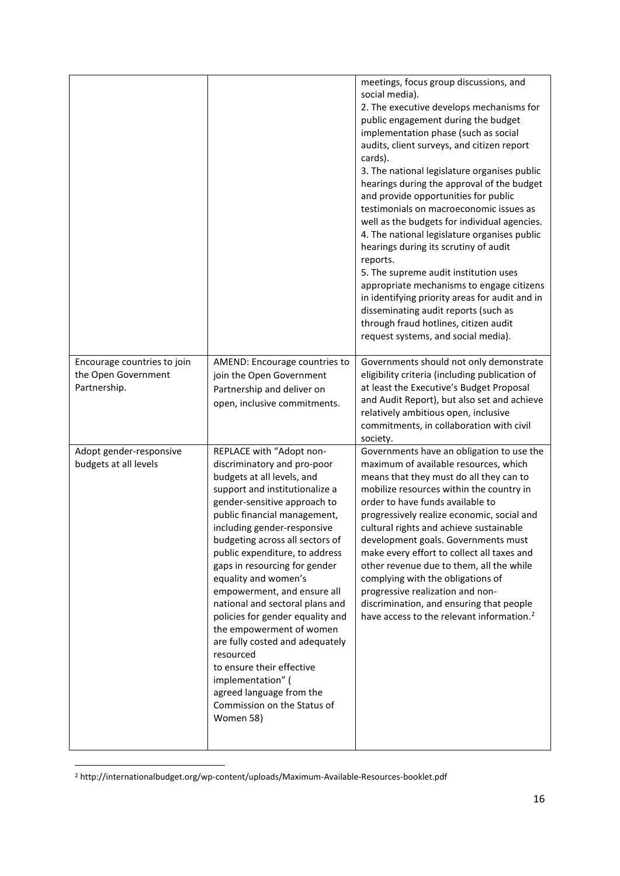|                                                                    |                                                                                                                                                                                                                                                                                                                                                                                                                                                                                                                                                                                                                                                                  | meetings, focus group discussions, and<br>social media).<br>2. The executive develops mechanisms for<br>public engagement during the budget<br>implementation phase (such as social<br>audits, client surveys, and citizen report<br>cards).<br>3. The national legislature organises public<br>hearings during the approval of the budget<br>and provide opportunities for public<br>testimonials on macroeconomic issues as<br>well as the budgets for individual agencies.<br>4. The national legislature organises public<br>hearings during its scrutiny of audit<br>reports.<br>5. The supreme audit institution uses<br>appropriate mechanisms to engage citizens<br>in identifying priority areas for audit and in<br>disseminating audit reports (such as<br>through fraud hotlines, citizen audit<br>request systems, and social media). |
|--------------------------------------------------------------------|------------------------------------------------------------------------------------------------------------------------------------------------------------------------------------------------------------------------------------------------------------------------------------------------------------------------------------------------------------------------------------------------------------------------------------------------------------------------------------------------------------------------------------------------------------------------------------------------------------------------------------------------------------------|----------------------------------------------------------------------------------------------------------------------------------------------------------------------------------------------------------------------------------------------------------------------------------------------------------------------------------------------------------------------------------------------------------------------------------------------------------------------------------------------------------------------------------------------------------------------------------------------------------------------------------------------------------------------------------------------------------------------------------------------------------------------------------------------------------------------------------------------------|
| Encourage countries to join<br>the Open Government<br>Partnership. | AMEND: Encourage countries to<br>join the Open Government<br>Partnership and deliver on<br>open, inclusive commitments.                                                                                                                                                                                                                                                                                                                                                                                                                                                                                                                                          | Governments should not only demonstrate<br>eligibility criteria (including publication of<br>at least the Executive's Budget Proposal<br>and Audit Report), but also set and achieve<br>relatively ambitious open, inclusive<br>commitments, in collaboration with civil<br>society.                                                                                                                                                                                                                                                                                                                                                                                                                                                                                                                                                               |
| Adopt gender-responsive<br>budgets at all levels                   | REPLACE with "Adopt non-<br>discriminatory and pro-poor<br>budgets at all levels, and<br>support and institutionalize a<br>gender-sensitive approach to<br>public financial management,<br>including gender-responsive<br>budgeting across all sectors of<br>public expenditure, to address<br>gaps in resourcing for gender<br>equality and women's<br>empowerment, and ensure all<br>national and sectoral plans and<br>policies for gender equality and<br>the empowerment of women<br>are fully costed and adequately<br>resourced<br>to ensure their effective<br>implementation" (<br>agreed language from the<br>Commission on the Status of<br>Women 58) | Governments have an obligation to use the<br>maximum of available resources, which<br>means that they must do all they can to<br>mobilize resources within the country in<br>order to have funds available to<br>progressively realize economic, social and<br>cultural rights and achieve sustainable<br>development goals. Governments must<br>make every effort to collect all taxes and<br>other revenue due to them, all the while<br>complying with the obligations of<br>progressive realization and non-<br>discrimination, and ensuring that people<br>have access to the relevant information. <sup>2</sup>                                                                                                                                                                                                                              |

<sup>2</sup> http://internationalbudget.org/wp-content/uploads/Maximum-Available-Resources-booklet.pdf

**.**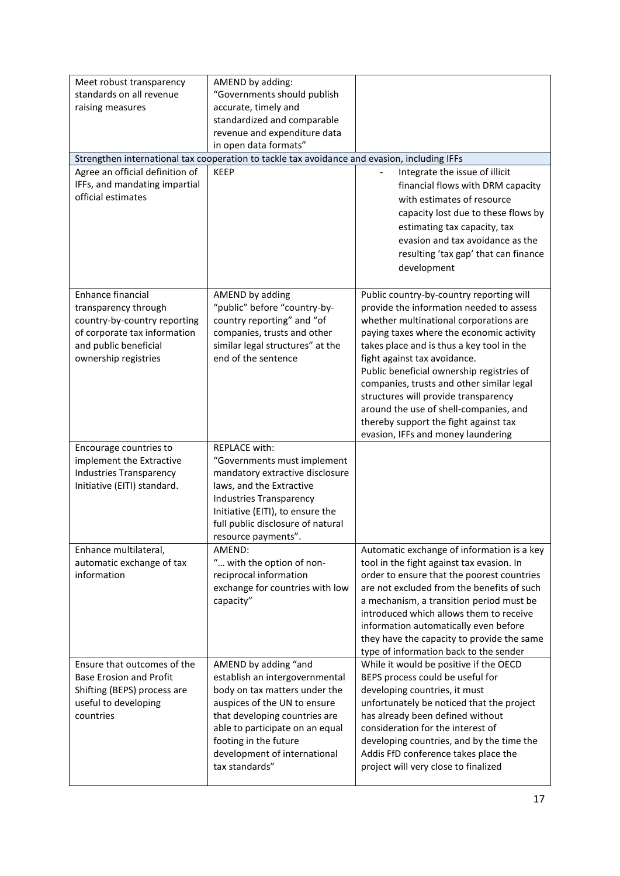| Meet robust transparency<br>standards on all revenue<br>raising measures                                                                                   | AMEND by adding:<br>"Governments should publish<br>accurate, timely and<br>standardized and comparable<br>revenue and expenditure data<br>in open data formats"                                                                                                        |                                                                                                                                                                                                                                                                                                                                                                                                                                                                                                                    |
|------------------------------------------------------------------------------------------------------------------------------------------------------------|------------------------------------------------------------------------------------------------------------------------------------------------------------------------------------------------------------------------------------------------------------------------|--------------------------------------------------------------------------------------------------------------------------------------------------------------------------------------------------------------------------------------------------------------------------------------------------------------------------------------------------------------------------------------------------------------------------------------------------------------------------------------------------------------------|
|                                                                                                                                                            | Strengthen international tax cooperation to tackle tax avoidance and evasion, including IFFs                                                                                                                                                                           |                                                                                                                                                                                                                                                                                                                                                                                                                                                                                                                    |
| Agree an official definition of<br>IFFs, and mandating impartial<br>official estimates                                                                     | <b>KEEP</b>                                                                                                                                                                                                                                                            | Integrate the issue of illicit<br>financial flows with DRM capacity<br>with estimates of resource<br>capacity lost due to these flows by<br>estimating tax capacity, tax<br>evasion and tax avoidance as the<br>resulting 'tax gap' that can finance<br>development                                                                                                                                                                                                                                                |
| Enhance financial<br>transparency through<br>country-by-country reporting<br>of corporate tax information<br>and public beneficial<br>ownership registries | AMEND by adding<br>"public" before "country-by-<br>country reporting" and "of<br>companies, trusts and other<br>similar legal structures" at the<br>end of the sentence                                                                                                | Public country-by-country reporting will<br>provide the information needed to assess<br>whether multinational corporations are<br>paying taxes where the economic activity<br>takes place and is thus a key tool in the<br>fight against tax avoidance.<br>Public beneficial ownership registries of<br>companies, trusts and other similar legal<br>structures will provide transparency<br>around the use of shell-companies, and<br>thereby support the fight against tax<br>evasion, IFFs and money laundering |
| Encourage countries to<br>implement the Extractive<br><b>Industries Transparency</b><br>Initiative (EITI) standard.                                        | <b>REPLACE with:</b><br>"Governments must implement<br>mandatory extractive disclosure<br>laws, and the Extractive<br>Industries Transparency<br>Initiative (EITI), to ensure the<br>full public disclosure of natural<br>resource payments".                          |                                                                                                                                                                                                                                                                                                                                                                                                                                                                                                                    |
| Enhance multilateral,<br>automatic exchange of tax<br>information                                                                                          | AMEND:<br>" with the option of non-<br>reciprocal information<br>exchange for countries with low<br>capacity"                                                                                                                                                          | Automatic exchange of information is a key<br>tool in the fight against tax evasion. In<br>order to ensure that the poorest countries<br>are not excluded from the benefits of such<br>a mechanism, a transition period must be<br>introduced which allows them to receive<br>information automatically even before<br>they have the capacity to provide the same<br>type of information back to the sender                                                                                                        |
| Ensure that outcomes of the<br><b>Base Erosion and Profit</b><br>Shifting (BEPS) process are<br>useful to developing<br>countries                          | AMEND by adding "and<br>establish an intergovernmental<br>body on tax matters under the<br>auspices of the UN to ensure<br>that developing countries are<br>able to participate on an equal<br>footing in the future<br>development of international<br>tax standards" | While it would be positive if the OECD<br>BEPS process could be useful for<br>developing countries, it must<br>unfortunately be noticed that the project<br>has already been defined without<br>consideration for the interest of<br>developing countries, and by the time the<br>Addis FfD conference takes place the<br>project will very close to finalized                                                                                                                                                     |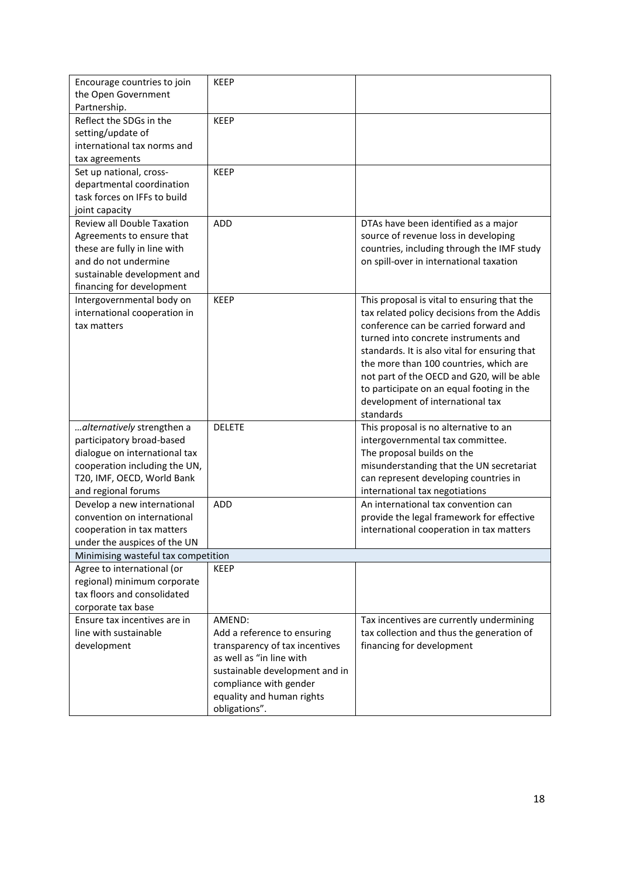| Encourage countries to join<br>the Open Government | <b>KEEP</b>                    |                                               |
|----------------------------------------------------|--------------------------------|-----------------------------------------------|
| Partnership.                                       |                                |                                               |
| Reflect the SDGs in the                            | <b>KEEP</b>                    |                                               |
| setting/update of                                  |                                |                                               |
| international tax norms and                        |                                |                                               |
| tax agreements                                     |                                |                                               |
| Set up national, cross-                            | <b>KEEP</b>                    |                                               |
| departmental coordination                          |                                |                                               |
| task forces on IFFs to build                       |                                |                                               |
| joint capacity                                     |                                |                                               |
| Review all Double Taxation                         | <b>ADD</b>                     | DTAs have been identified as a major          |
| Agreements to ensure that                          |                                | source of revenue loss in developing          |
| these are fully in line with                       |                                | countries, including through the IMF study    |
| and do not undermine                               |                                | on spill-over in international taxation       |
| sustainable development and                        |                                |                                               |
| financing for development                          |                                |                                               |
| Intergovernmental body on                          | <b>KEEP</b>                    | This proposal is vital to ensuring that the   |
| international cooperation in                       |                                | tax related policy decisions from the Addis   |
| tax matters                                        |                                | conference can be carried forward and         |
|                                                    |                                | turned into concrete instruments and          |
|                                                    |                                | standards. It is also vital for ensuring that |
|                                                    |                                | the more than 100 countries, which are        |
|                                                    |                                | not part of the OECD and G20, will be able    |
|                                                    |                                | to participate on an equal footing in the     |
|                                                    |                                | development of international tax              |
|                                                    |                                | standards                                     |
| alternatively strengthen a                         | <b>DELETE</b>                  | This proposal is no alternative to an         |
| participatory broad-based                          |                                | intergovernmental tax committee.              |
| dialogue on international tax                      |                                | The proposal builds on the                    |
| cooperation including the UN,                      |                                | misunderstanding that the UN secretariat      |
| T20, IMF, OECD, World Bank                         |                                | can represent developing countries in         |
| and regional forums                                |                                | international tax negotiations                |
| Develop a new international                        | <b>ADD</b>                     | An international tax convention can           |
| convention on international                        |                                | provide the legal framework for effective     |
| cooperation in tax matters                         |                                | international cooperation in tax matters      |
| under the auspices of the UN                       |                                |                                               |
| Minimising wasteful tax competition                |                                |                                               |
| Agree to international (or                         | <b>KEEP</b>                    |                                               |
| regional) minimum corporate                        |                                |                                               |
| tax floors and consolidated                        |                                |                                               |
| corporate tax base                                 |                                |                                               |
| Ensure tax incentives are in                       | AMEND:                         | Tax incentives are currently undermining      |
| line with sustainable                              | Add a reference to ensuring    | tax collection and thus the generation of     |
| development                                        | transparency of tax incentives | financing for development                     |
|                                                    | as well as "in line with       |                                               |
|                                                    | sustainable development and in |                                               |
|                                                    | compliance with gender         |                                               |
|                                                    | equality and human rights      |                                               |
|                                                    | obligations".                  |                                               |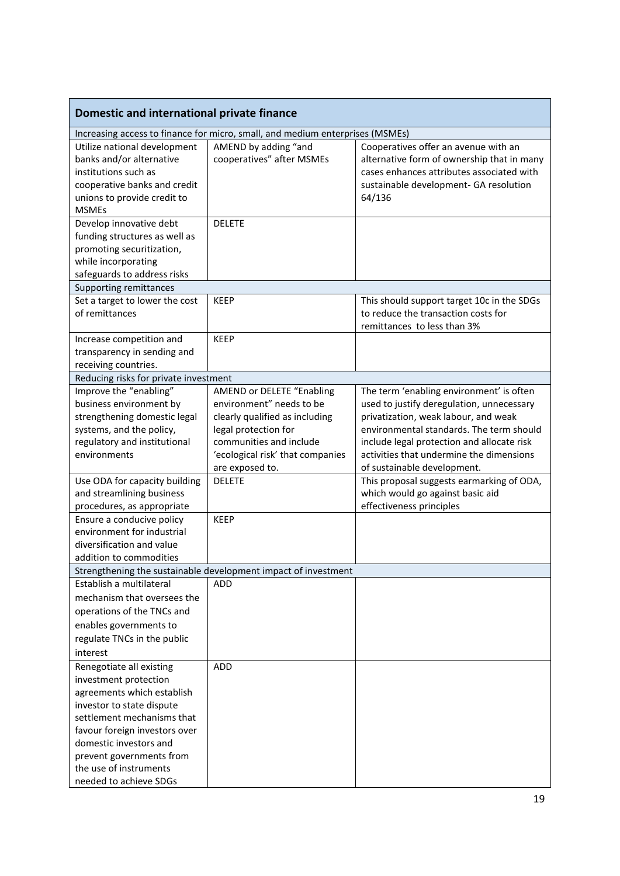| Domestic and international private finance                                                                                                                                                                                                                                            |                                                                                                                                                                                                          |                                                                                                                                                                                                                                                                                                    |
|---------------------------------------------------------------------------------------------------------------------------------------------------------------------------------------------------------------------------------------------------------------------------------------|----------------------------------------------------------------------------------------------------------------------------------------------------------------------------------------------------------|----------------------------------------------------------------------------------------------------------------------------------------------------------------------------------------------------------------------------------------------------------------------------------------------------|
|                                                                                                                                                                                                                                                                                       | Increasing access to finance for micro, small, and medium enterprises (MSMEs)                                                                                                                            |                                                                                                                                                                                                                                                                                                    |
| Utilize national development<br>banks and/or alternative<br>institutions such as<br>cooperative banks and credit<br>unions to provide credit to<br><b>MSMEs</b>                                                                                                                       | AMEND by adding "and<br>cooperatives" after MSMEs                                                                                                                                                        | Cooperatives offer an avenue with an<br>alternative form of ownership that in many<br>cases enhances attributes associated with<br>sustainable development- GA resolution<br>64/136                                                                                                                |
| Develop innovative debt<br>funding structures as well as<br>promoting securitization,<br>while incorporating<br>safeguards to address risks                                                                                                                                           | <b>DELETE</b>                                                                                                                                                                                            |                                                                                                                                                                                                                                                                                                    |
| Supporting remittances                                                                                                                                                                                                                                                                |                                                                                                                                                                                                          |                                                                                                                                                                                                                                                                                                    |
| Set a target to lower the cost<br>of remittances                                                                                                                                                                                                                                      | <b>KEEP</b>                                                                                                                                                                                              | This should support target 10c in the SDGs<br>to reduce the transaction costs for<br>remittances to less than 3%                                                                                                                                                                                   |
| Increase competition and<br>transparency in sending and<br>receiving countries.                                                                                                                                                                                                       | <b>KEEP</b>                                                                                                                                                                                              |                                                                                                                                                                                                                                                                                                    |
| Reducing risks for private investment                                                                                                                                                                                                                                                 |                                                                                                                                                                                                          |                                                                                                                                                                                                                                                                                                    |
| Improve the "enabling"<br>business environment by<br>strengthening domestic legal<br>systems, and the policy,<br>regulatory and institutional<br>environments                                                                                                                         | <b>AMEND or DELETE "Enabling</b><br>environment" needs to be<br>clearly qualified as including<br>legal protection for<br>communities and include<br>'ecological risk' that companies<br>are exposed to. | The term 'enabling environment' is often<br>used to justify deregulation, unnecessary<br>privatization, weak labour, and weak<br>environmental standards. The term should<br>include legal protection and allocate risk<br>activities that undermine the dimensions<br>of sustainable development. |
| Use ODA for capacity building<br>and streamlining business                                                                                                                                                                                                                            | <b>DELETE</b>                                                                                                                                                                                            | This proposal suggests earmarking of ODA,<br>which would go against basic aid                                                                                                                                                                                                                      |
| procedures, as appropriate<br>Ensure a conducive policy<br>environment for industrial<br>diversification and value<br>addition to commodities                                                                                                                                         | <b>KEEP</b>                                                                                                                                                                                              | effectiveness principles                                                                                                                                                                                                                                                                           |
|                                                                                                                                                                                                                                                                                       | Strengthening the sustainable development impact of investment                                                                                                                                           |                                                                                                                                                                                                                                                                                                    |
| Establish a multilateral<br>mechanism that oversees the<br>operations of the TNCs and<br>enables governments to<br>regulate TNCs in the public<br>interest                                                                                                                            | ADD                                                                                                                                                                                                      |                                                                                                                                                                                                                                                                                                    |
| Renegotiate all existing<br>investment protection<br>agreements which establish<br>investor to state dispute<br>settlement mechanisms that<br>favour foreign investors over<br>domestic investors and<br>prevent governments from<br>the use of instruments<br>needed to achieve SDGs | <b>ADD</b>                                                                                                                                                                                               |                                                                                                                                                                                                                                                                                                    |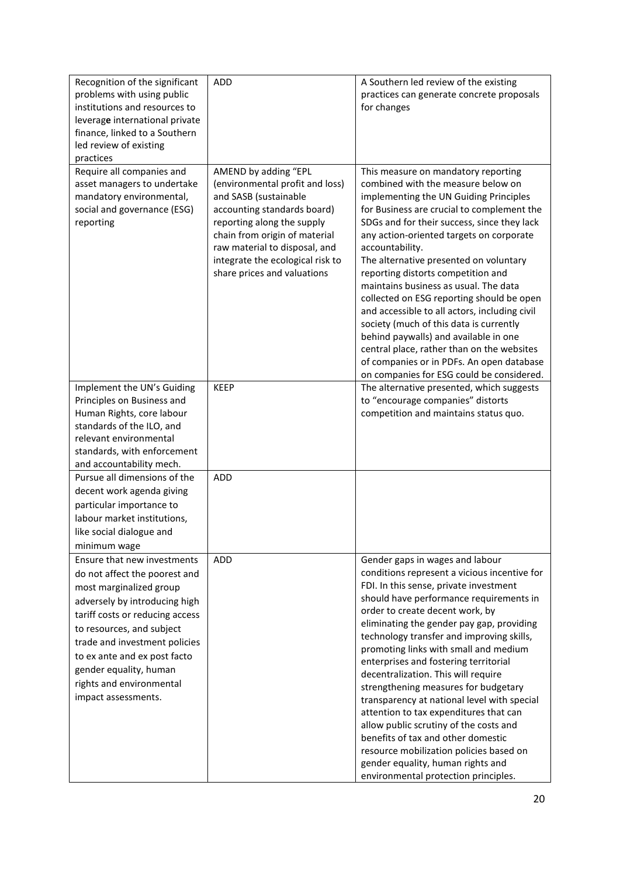| Recognition of the significant<br>problems with using public<br>institutions and resources to<br>leverage international private<br>finance, linked to a Southern<br>led review of existing<br>practices                                                                                                                                | <b>ADD</b>                                                                                                                                                                                                                                                                         | A Southern led review of the existing<br>practices can generate concrete proposals<br>for changes                                                                                                                                                                                                                                                                                                                                                                                                                                                                                                                                                                                                                                                                   |
|----------------------------------------------------------------------------------------------------------------------------------------------------------------------------------------------------------------------------------------------------------------------------------------------------------------------------------------|------------------------------------------------------------------------------------------------------------------------------------------------------------------------------------------------------------------------------------------------------------------------------------|---------------------------------------------------------------------------------------------------------------------------------------------------------------------------------------------------------------------------------------------------------------------------------------------------------------------------------------------------------------------------------------------------------------------------------------------------------------------------------------------------------------------------------------------------------------------------------------------------------------------------------------------------------------------------------------------------------------------------------------------------------------------|
| Require all companies and<br>asset managers to undertake<br>mandatory environmental,<br>social and governance (ESG)<br>reporting                                                                                                                                                                                                       | AMEND by adding "EPL<br>(environmental profit and loss)<br>and SASB (sustainable<br>accounting standards board)<br>reporting along the supply<br>chain from origin of material<br>raw material to disposal, and<br>integrate the ecological risk to<br>share prices and valuations | This measure on mandatory reporting<br>combined with the measure below on<br>implementing the UN Guiding Principles<br>for Business are crucial to complement the<br>SDGs and for their success, since they lack<br>any action-oriented targets on corporate<br>accountability.<br>The alternative presented on voluntary<br>reporting distorts competition and<br>maintains business as usual. The data<br>collected on ESG reporting should be open<br>and accessible to all actors, including civil<br>society (much of this data is currently<br>behind paywalls) and available in one<br>central place, rather than on the websites<br>of companies or in PDFs. An open database<br>on companies for ESG could be considered.                                  |
| Implement the UN's Guiding<br>Principles on Business and<br>Human Rights, core labour<br>standards of the ILO, and<br>relevant environmental<br>standards, with enforcement<br>and accountability mech.                                                                                                                                | <b>KEEP</b>                                                                                                                                                                                                                                                                        | The alternative presented, which suggests<br>to "encourage companies" distorts<br>competition and maintains status quo.                                                                                                                                                                                                                                                                                                                                                                                                                                                                                                                                                                                                                                             |
| Pursue all dimensions of the<br>decent work agenda giving<br>particular importance to<br>labour market institutions,<br>like social dialogue and<br>minimum wage                                                                                                                                                                       | <b>ADD</b>                                                                                                                                                                                                                                                                         |                                                                                                                                                                                                                                                                                                                                                                                                                                                                                                                                                                                                                                                                                                                                                                     |
| Ensure that new investments<br>do not affect the poorest and<br>most marginalized group<br>adversely by introducing high<br>tariff costs or reducing access<br>to resources, and subject<br>trade and investment policies<br>to ex ante and ex post facto<br>gender equality, human<br>rights and environmental<br>impact assessments. | <b>ADD</b>                                                                                                                                                                                                                                                                         | Gender gaps in wages and labour<br>conditions represent a vicious incentive for<br>FDI. In this sense, private investment<br>should have performance requirements in<br>order to create decent work, by<br>eliminating the gender pay gap, providing<br>technology transfer and improving skills,<br>promoting links with small and medium<br>enterprises and fostering territorial<br>decentralization. This will require<br>strengthening measures for budgetary<br>transparency at national level with special<br>attention to tax expenditures that can<br>allow public scrutiny of the costs and<br>benefits of tax and other domestic<br>resource mobilization policies based on<br>gender equality, human rights and<br>environmental protection principles. |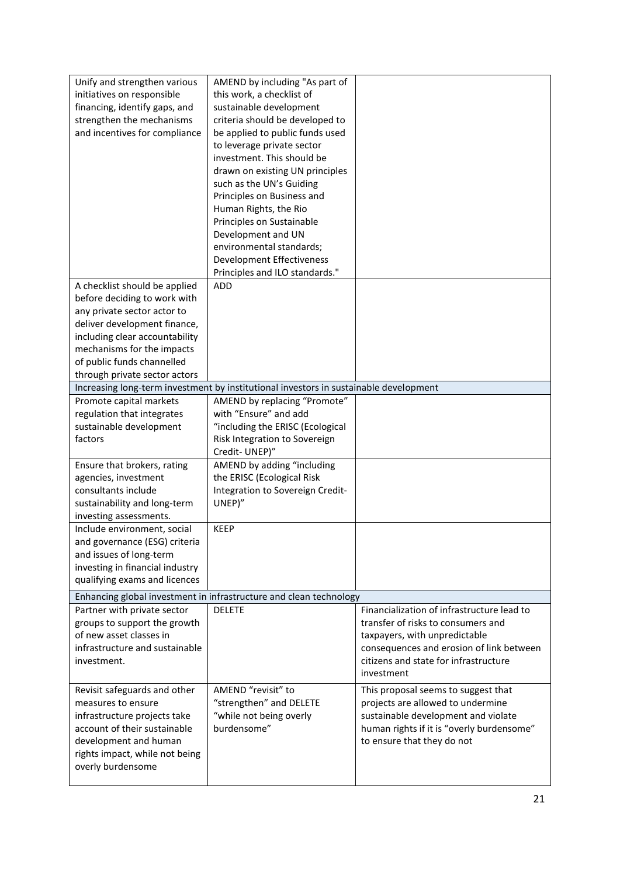| Unify and strengthen various<br>initiatives on responsible<br>financing, identify gaps, and<br>strengthen the mechanisms<br>and incentives for compliance                                                                                                   | AMEND by including "As part of<br>this work, a checklist of<br>sustainable development<br>criteria should be developed to<br>be applied to public funds used<br>to leverage private sector<br>investment. This should be<br>drawn on existing UN principles<br>such as the UN's Guiding<br>Principles on Business and<br>Human Rights, the Rio<br>Principles on Sustainable<br>Development and UN<br>environmental standards;<br>Development Effectiveness<br>Principles and ILO standards." |                                                                                                                                                                                                                      |
|-------------------------------------------------------------------------------------------------------------------------------------------------------------------------------------------------------------------------------------------------------------|----------------------------------------------------------------------------------------------------------------------------------------------------------------------------------------------------------------------------------------------------------------------------------------------------------------------------------------------------------------------------------------------------------------------------------------------------------------------------------------------|----------------------------------------------------------------------------------------------------------------------------------------------------------------------------------------------------------------------|
| A checklist should be applied<br>before deciding to work with<br>any private sector actor to<br>deliver development finance,<br>including clear accountability<br>mechanisms for the impacts<br>of public funds channelled<br>through private sector actors | ADD                                                                                                                                                                                                                                                                                                                                                                                                                                                                                          |                                                                                                                                                                                                                      |
|                                                                                                                                                                                                                                                             | Increasing long-term investment by institutional investors in sustainable development                                                                                                                                                                                                                                                                                                                                                                                                        |                                                                                                                                                                                                                      |
| Promote capital markets<br>regulation that integrates<br>sustainable development<br>factors                                                                                                                                                                 | AMEND by replacing "Promote"<br>with "Ensure" and add<br>"including the ERISC (Ecological<br>Risk Integration to Sovereign<br>Credit-UNEP)"                                                                                                                                                                                                                                                                                                                                                  |                                                                                                                                                                                                                      |
| Ensure that brokers, rating<br>agencies, investment<br>consultants include<br>sustainability and long-term<br>investing assessments.                                                                                                                        | AMEND by adding "including<br>the ERISC (Ecological Risk<br>Integration to Sovereign Credit-<br>UNEP)"                                                                                                                                                                                                                                                                                                                                                                                       |                                                                                                                                                                                                                      |
| Include environment, social<br>and governance (ESG) criteria<br>and issues of long-term<br>investing in financial industry<br>qualifying exams and licences                                                                                                 | <b>KEEP</b>                                                                                                                                                                                                                                                                                                                                                                                                                                                                                  |                                                                                                                                                                                                                      |
|                                                                                                                                                                                                                                                             | Enhancing global investment in infrastructure and clean technology                                                                                                                                                                                                                                                                                                                                                                                                                           |                                                                                                                                                                                                                      |
| Partner with private sector<br>groups to support the growth<br>of new asset classes in<br>infrastructure and sustainable<br>investment.                                                                                                                     | <b>DELETE</b>                                                                                                                                                                                                                                                                                                                                                                                                                                                                                | Financialization of infrastructure lead to<br>transfer of risks to consumers and<br>taxpayers, with unpredictable<br>consequences and erosion of link between<br>citizens and state for infrastructure<br>investment |
| Revisit safeguards and other<br>measures to ensure<br>infrastructure projects take<br>account of their sustainable<br>development and human<br>rights impact, while not being<br>overly burdensome                                                          | AMEND "revisit" to<br>"strengthen" and DELETE<br>"while not being overly<br>burdensome"                                                                                                                                                                                                                                                                                                                                                                                                      | This proposal seems to suggest that<br>projects are allowed to undermine<br>sustainable development and violate<br>human rights if it is "overly burdensome"<br>to ensure that they do not                           |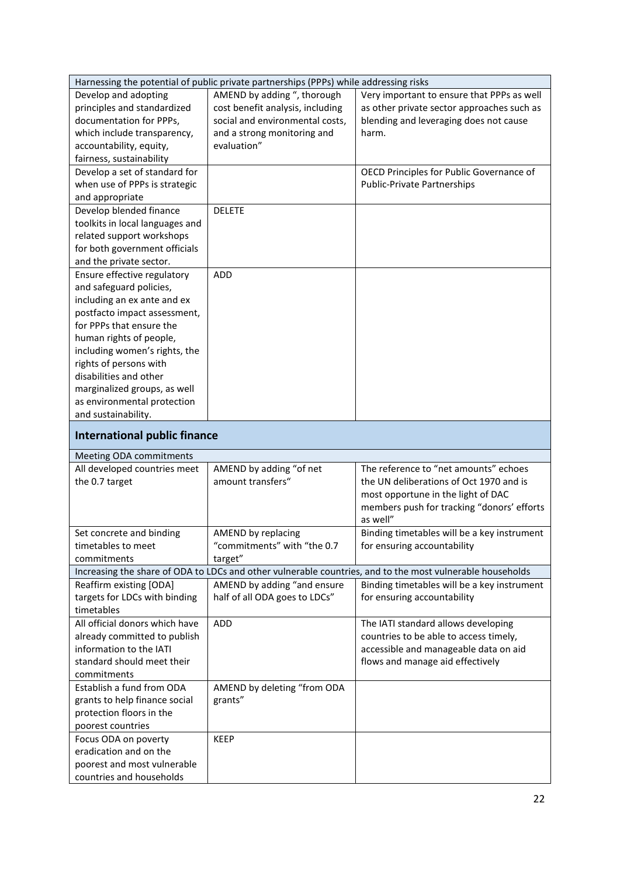|                                                             | Harnessing the potential of public private partnerships (PPPs) while addressing risks |                                                                                                           |
|-------------------------------------------------------------|---------------------------------------------------------------------------------------|-----------------------------------------------------------------------------------------------------------|
| Develop and adopting                                        | AMEND by adding ", thorough                                                           | Very important to ensure that PPPs as well                                                                |
| principles and standardized                                 | cost benefit analysis, including                                                      | as other private sector approaches such as                                                                |
| documentation for PPPs,                                     | social and environmental costs,                                                       | blending and leveraging does not cause                                                                    |
| which include transparency,                                 | and a strong monitoring and                                                           | harm.                                                                                                     |
| accountability, equity,                                     | evaluation"                                                                           |                                                                                                           |
| fairness, sustainability                                    |                                                                                       |                                                                                                           |
| Develop a set of standard for                               |                                                                                       | OECD Principles for Public Governance of                                                                  |
| when use of PPPs is strategic                               |                                                                                       | <b>Public-Private Partnerships</b>                                                                        |
| and appropriate                                             |                                                                                       |                                                                                                           |
| Develop blended finance                                     | <b>DELETE</b>                                                                         |                                                                                                           |
| toolkits in local languages and                             |                                                                                       |                                                                                                           |
| related support workshops                                   |                                                                                       |                                                                                                           |
| for both government officials                               |                                                                                       |                                                                                                           |
| and the private sector.                                     |                                                                                       |                                                                                                           |
| Ensure effective regulatory                                 | ADD                                                                                   |                                                                                                           |
| and safeguard policies,                                     |                                                                                       |                                                                                                           |
| including an ex ante and ex                                 |                                                                                       |                                                                                                           |
| postfacto impact assessment,                                |                                                                                       |                                                                                                           |
| for PPPs that ensure the                                    |                                                                                       |                                                                                                           |
| human rights of people,                                     |                                                                                       |                                                                                                           |
| including women's rights, the                               |                                                                                       |                                                                                                           |
| rights of persons with                                      |                                                                                       |                                                                                                           |
| disabilities and other                                      |                                                                                       |                                                                                                           |
|                                                             |                                                                                       |                                                                                                           |
| marginalized groups, as well<br>as environmental protection |                                                                                       |                                                                                                           |
|                                                             |                                                                                       |                                                                                                           |
| and sustainability.                                         |                                                                                       |                                                                                                           |
|                                                             |                                                                                       |                                                                                                           |
| <b>International public finance</b>                         |                                                                                       |                                                                                                           |
|                                                             |                                                                                       |                                                                                                           |
| Meeting ODA commitments                                     |                                                                                       | The reference to "net amounts" echoes                                                                     |
| All developed countries meet                                | AMEND by adding "of net<br>amount transfers"                                          | the UN deliberations of Oct 1970 and is                                                                   |
| the 0.7 target                                              |                                                                                       |                                                                                                           |
|                                                             |                                                                                       | most opportune in the light of DAC                                                                        |
|                                                             |                                                                                       | members push for tracking "donors' efforts<br>as well"                                                    |
|                                                             |                                                                                       |                                                                                                           |
| Set concrete and binding                                    | AMEND by replacing                                                                    | Binding timetables will be a key instrument                                                               |
| timetables to meet<br>commitments                           | "commitments" with "the 0.7                                                           | for ensuring accountability                                                                               |
|                                                             | target"                                                                               |                                                                                                           |
|                                                             |                                                                                       | Increasing the share of ODA to LDCs and other vulnerable countries, and to the most vulnerable households |
| Reaffirm existing [ODA]                                     | AMEND by adding "and ensure                                                           | Binding timetables will be a key instrument                                                               |
| targets for LDCs with binding                               | half of all ODA goes to LDCs"                                                         | for ensuring accountability                                                                               |
| timetables                                                  |                                                                                       |                                                                                                           |
| All official donors which have                              | ADD                                                                                   | The IATI standard allows developing                                                                       |
| already committed to publish                                |                                                                                       | countries to be able to access timely,                                                                    |
| information to the IATI                                     |                                                                                       | accessible and manageable data on aid                                                                     |
| standard should meet their                                  |                                                                                       | flows and manage aid effectively                                                                          |
| commitments                                                 |                                                                                       |                                                                                                           |
| Establish a fund from ODA                                   | AMEND by deleting "from ODA                                                           |                                                                                                           |
| grants to help finance social                               | grants"                                                                               |                                                                                                           |
| protection floors in the                                    |                                                                                       |                                                                                                           |
| poorest countries                                           |                                                                                       |                                                                                                           |
| Focus ODA on poverty                                        | <b>KEEP</b>                                                                           |                                                                                                           |
| eradication and on the<br>poorest and most vulnerable       |                                                                                       |                                                                                                           |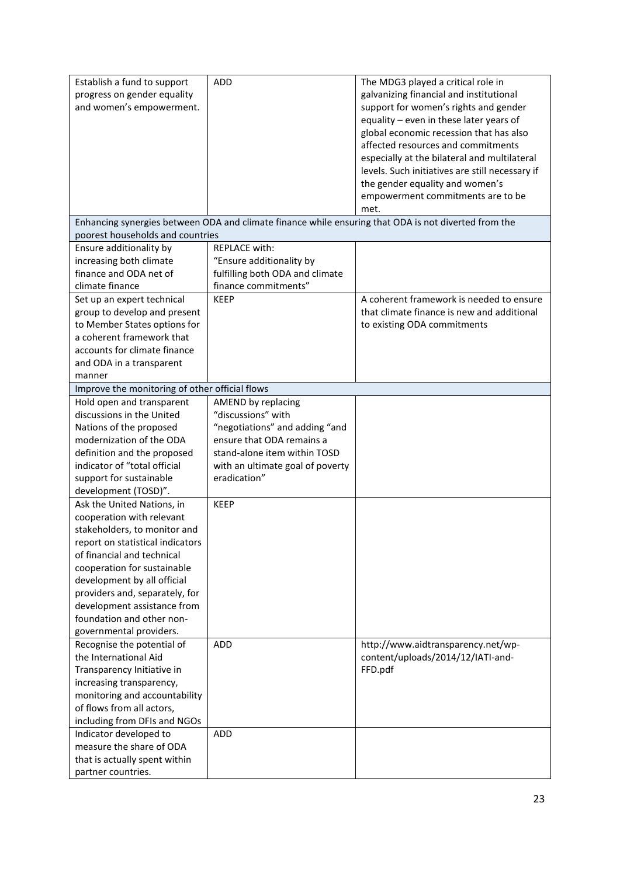| Establish a fund to support                                   | <b>ADD</b>                       | The MDG3 played a critical role in                                                                   |
|---------------------------------------------------------------|----------------------------------|------------------------------------------------------------------------------------------------------|
| progress on gender equality                                   |                                  | galvanizing financial and institutional                                                              |
| and women's empowerment.                                      |                                  | support for women's rights and gender                                                                |
|                                                               |                                  | equality - even in these later years of                                                              |
|                                                               |                                  | global economic recession that has also                                                              |
|                                                               |                                  | affected resources and commitments                                                                   |
|                                                               |                                  | especially at the bilateral and multilateral                                                         |
|                                                               |                                  | levels. Such initiatives are still necessary if                                                      |
|                                                               |                                  | the gender equality and women's                                                                      |
|                                                               |                                  | empowerment commitments are to be                                                                    |
|                                                               |                                  | met.                                                                                                 |
|                                                               |                                  | Enhancing synergies between ODA and climate finance while ensuring that ODA is not diverted from the |
| poorest households and countries                              |                                  |                                                                                                      |
| Ensure additionality by                                       | <b>REPLACE with:</b>             |                                                                                                      |
| increasing both climate                                       | "Ensure additionality by         |                                                                                                      |
| finance and ODA net of                                        | fulfilling both ODA and climate  |                                                                                                      |
| climate finance                                               | finance commitments"             |                                                                                                      |
| Set up an expert technical                                    | <b>KEEP</b>                      | A coherent framework is needed to ensure                                                             |
| group to develop and present                                  |                                  | that climate finance is new and additional                                                           |
| to Member States options for                                  |                                  | to existing ODA commitments                                                                          |
| a coherent framework that                                     |                                  |                                                                                                      |
| accounts for climate finance                                  |                                  |                                                                                                      |
| and ODA in a transparent                                      |                                  |                                                                                                      |
| manner                                                        |                                  |                                                                                                      |
| Improve the monitoring of other official flows                |                                  |                                                                                                      |
| Hold open and transparent                                     | AMEND by replacing               |                                                                                                      |
| discussions in the United                                     | "discussions" with               |                                                                                                      |
| Nations of the proposed                                       | "negotiations" and adding "and   |                                                                                                      |
| modernization of the ODA                                      | ensure that ODA remains a        |                                                                                                      |
| definition and the proposed                                   | stand-alone item within TOSD     |                                                                                                      |
| indicator of "total official                                  | with an ultimate goal of poverty |                                                                                                      |
| support for sustainable                                       | eradication"                     |                                                                                                      |
| development (TOSD)".                                          |                                  |                                                                                                      |
| Ask the United Nations, in                                    | <b>KEEP</b>                      |                                                                                                      |
| cooperation with relevant                                     |                                  |                                                                                                      |
| stakeholders, to monitor and                                  |                                  |                                                                                                      |
| report on statistical indicators                              |                                  |                                                                                                      |
| of financial and technical                                    |                                  |                                                                                                      |
| cooperation for sustainable                                   |                                  |                                                                                                      |
| development by all official                                   |                                  |                                                                                                      |
| providers and, separately, for<br>development assistance from |                                  |                                                                                                      |
| foundation and other non-                                     |                                  |                                                                                                      |
| governmental providers.                                       |                                  |                                                                                                      |
| Recognise the potential of                                    | ADD                              | http://www.aidtransparency.net/wp-                                                                   |
| the International Aid                                         |                                  | content/uploads/2014/12/IATI-and-                                                                    |
| Transparency Initiative in                                    |                                  | FFD.pdf                                                                                              |
| increasing transparency,                                      |                                  |                                                                                                      |
| monitoring and accountability                                 |                                  |                                                                                                      |
| of flows from all actors,                                     |                                  |                                                                                                      |
| including from DFIs and NGOs                                  |                                  |                                                                                                      |
| Indicator developed to                                        | ADD                              |                                                                                                      |
| measure the share of ODA                                      |                                  |                                                                                                      |
| that is actually spent within                                 |                                  |                                                                                                      |
| partner countries.                                            |                                  |                                                                                                      |
|                                                               |                                  |                                                                                                      |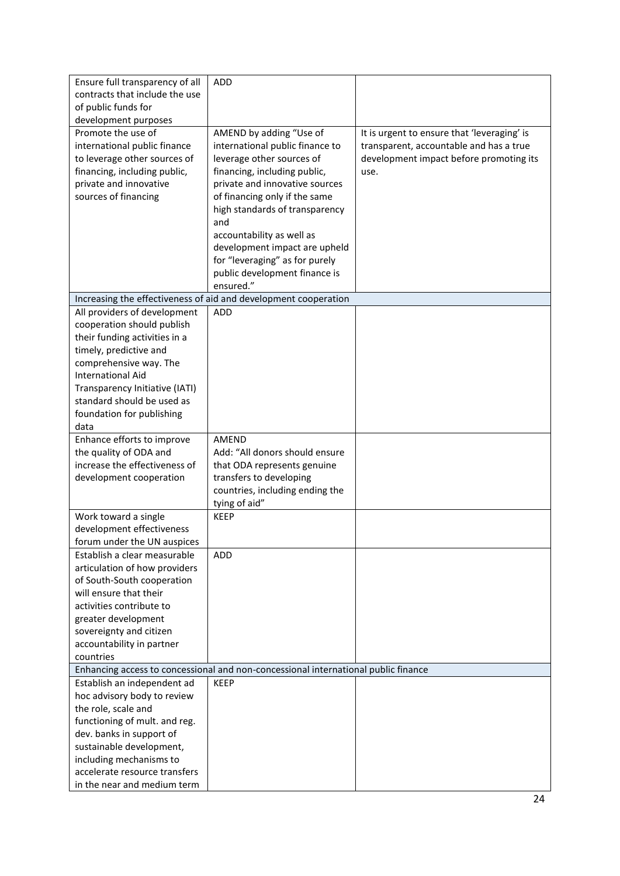| Ensure full transparency of all                      | <b>ADD</b>                                                                         |                                             |
|------------------------------------------------------|------------------------------------------------------------------------------------|---------------------------------------------|
| contracts that include the use                       |                                                                                    |                                             |
| of public funds for                                  |                                                                                    |                                             |
| development purposes                                 |                                                                                    |                                             |
| Promote the use of                                   | AMEND by adding "Use of                                                            | It is urgent to ensure that 'leveraging' is |
| international public finance                         | international public finance to                                                    | transparent, accountable and has a true     |
| to leverage other sources of                         | leverage other sources of                                                          | development impact before promoting its     |
| financing, including public,                         | financing, including public,                                                       | use.                                        |
| private and innovative                               | private and innovative sources                                                     |                                             |
| sources of financing                                 | of financing only if the same                                                      |                                             |
|                                                      | high standards of transparency                                                     |                                             |
|                                                      | and                                                                                |                                             |
|                                                      | accountability as well as                                                          |                                             |
|                                                      | development impact are upheld                                                      |                                             |
|                                                      | for "leveraging" as for purely                                                     |                                             |
|                                                      | public development finance is<br>ensured."                                         |                                             |
|                                                      | Increasing the effectiveness of aid and development cooperation                    |                                             |
| All providers of development                         | <b>ADD</b>                                                                         |                                             |
| cooperation should publish                           |                                                                                    |                                             |
| their funding activities in a                        |                                                                                    |                                             |
| timely, predictive and                               |                                                                                    |                                             |
| comprehensive way. The                               |                                                                                    |                                             |
| <b>International Aid</b>                             |                                                                                    |                                             |
| Transparency Initiative (IATI)                       |                                                                                    |                                             |
| standard should be used as                           |                                                                                    |                                             |
| foundation for publishing                            |                                                                                    |                                             |
| data                                                 |                                                                                    |                                             |
| Enhance efforts to improve                           | <b>AMEND</b>                                                                       |                                             |
| the quality of ODA and                               | Add: "All donors should ensure                                                     |                                             |
| increase the effectiveness of                        | that ODA represents genuine                                                        |                                             |
| development cooperation                              | transfers to developing                                                            |                                             |
|                                                      | countries, including ending the                                                    |                                             |
|                                                      | tying of aid"                                                                      |                                             |
| Work toward a single                                 | <b>KEEP</b>                                                                        |                                             |
| development effectiveness                            |                                                                                    |                                             |
| forum under the UN auspices                          |                                                                                    |                                             |
| Establish a clear measurable                         | <b>ADD</b>                                                                         |                                             |
| articulation of how providers                        |                                                                                    |                                             |
| of South-South cooperation                           |                                                                                    |                                             |
| will ensure that their<br>activities contribute to   |                                                                                    |                                             |
| greater development                                  |                                                                                    |                                             |
|                                                      |                                                                                    |                                             |
|                                                      |                                                                                    |                                             |
| sovereignty and citizen                              |                                                                                    |                                             |
| accountability in partner                            |                                                                                    |                                             |
| countries                                            |                                                                                    |                                             |
|                                                      | Enhancing access to concessional and non-concessional international public finance |                                             |
| Establish an independent ad                          | <b>KEEP</b>                                                                        |                                             |
| hoc advisory body to review<br>the role, scale and   |                                                                                    |                                             |
|                                                      |                                                                                    |                                             |
| functioning of mult. and reg.                        |                                                                                    |                                             |
| dev. banks in support of<br>sustainable development, |                                                                                    |                                             |
| including mechanisms to                              |                                                                                    |                                             |
| accelerate resource transfers                        |                                                                                    |                                             |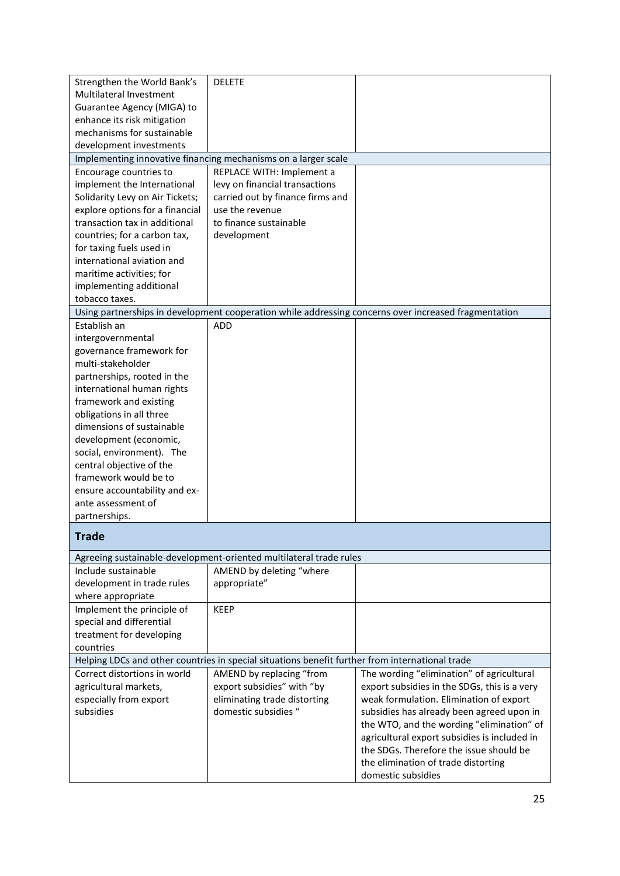| Strengthen the World Bank's                                    | <b>DELETE</b>                                                                                   |                                                                                                      |
|----------------------------------------------------------------|-------------------------------------------------------------------------------------------------|------------------------------------------------------------------------------------------------------|
| Multilateral Investment                                        |                                                                                                 |                                                                                                      |
| Guarantee Agency (MIGA) to                                     |                                                                                                 |                                                                                                      |
| enhance its risk mitigation                                    |                                                                                                 |                                                                                                      |
| mechanisms for sustainable                                     |                                                                                                 |                                                                                                      |
| development investments                                        |                                                                                                 |                                                                                                      |
|                                                                | Implementing innovative financing mechanisms on a larger scale                                  |                                                                                                      |
| Encourage countries to                                         | REPLACE WITH: Implement a                                                                       |                                                                                                      |
| implement the International<br>Solidarity Levy on Air Tickets; | levy on financial transactions<br>carried out by finance firms and                              |                                                                                                      |
| explore options for a financial                                | use the revenue                                                                                 |                                                                                                      |
| transaction tax in additional                                  | to finance sustainable                                                                          |                                                                                                      |
| countries; for a carbon tax,                                   | development                                                                                     |                                                                                                      |
| for taxing fuels used in                                       |                                                                                                 |                                                                                                      |
| international aviation and                                     |                                                                                                 |                                                                                                      |
| maritime activities; for                                       |                                                                                                 |                                                                                                      |
| implementing additional                                        |                                                                                                 |                                                                                                      |
| tobacco taxes.                                                 |                                                                                                 |                                                                                                      |
|                                                                |                                                                                                 | Using partnerships in development cooperation while addressing concerns over increased fragmentation |
| Establish an                                                   | <b>ADD</b>                                                                                      |                                                                                                      |
| intergovernmental                                              |                                                                                                 |                                                                                                      |
| governance framework for                                       |                                                                                                 |                                                                                                      |
| multi-stakeholder                                              |                                                                                                 |                                                                                                      |
| partnerships, rooted in the                                    |                                                                                                 |                                                                                                      |
| international human rights                                     |                                                                                                 |                                                                                                      |
| framework and existing                                         |                                                                                                 |                                                                                                      |
| obligations in all three                                       |                                                                                                 |                                                                                                      |
| dimensions of sustainable                                      |                                                                                                 |                                                                                                      |
| development (economic,                                         |                                                                                                 |                                                                                                      |
| social, environment). The                                      |                                                                                                 |                                                                                                      |
| central objective of the                                       |                                                                                                 |                                                                                                      |
| framework would be to                                          |                                                                                                 |                                                                                                      |
| ensure accountability and ex-                                  |                                                                                                 |                                                                                                      |
| ante assessment of                                             |                                                                                                 |                                                                                                      |
| partnerships.                                                  |                                                                                                 |                                                                                                      |
| <b>Trade</b>                                                   |                                                                                                 |                                                                                                      |
|                                                                |                                                                                                 |                                                                                                      |
|                                                                | Agreeing sustainable-development-oriented multilateral trade rules                              |                                                                                                      |
| Include sustainable                                            | AMEND by deleting "where                                                                        |                                                                                                      |
| development in trade rules                                     | appropriate"                                                                                    |                                                                                                      |
| where appropriate                                              |                                                                                                 |                                                                                                      |
| Implement the principle of                                     | <b>KEEP</b>                                                                                     |                                                                                                      |
| special and differential                                       |                                                                                                 |                                                                                                      |
| treatment for developing                                       |                                                                                                 |                                                                                                      |
| countries                                                      |                                                                                                 |                                                                                                      |
|                                                                | Helping LDCs and other countries in special situations benefit further from international trade |                                                                                                      |
| Correct distortions in world                                   | AMEND by replacing "from                                                                        | The wording "elimination" of agricultural                                                            |
| agricultural markets,                                          | export subsidies" with "by                                                                      | export subsidies in the SDGs, this is a very                                                         |
| especially from export                                         | eliminating trade distorting                                                                    | weak formulation. Elimination of export                                                              |
| subsidies                                                      | domestic subsidies "                                                                            | subsidies has already been agreed upon in                                                            |
|                                                                |                                                                                                 | the WTO, and the wording "elimination" of                                                            |
|                                                                |                                                                                                 | agricultural export subsidies is included in                                                         |
|                                                                |                                                                                                 | the SDGs. Therefore the issue should be                                                              |
|                                                                |                                                                                                 | the elimination of trade distorting                                                                  |
|                                                                |                                                                                                 | domestic subsidies                                                                                   |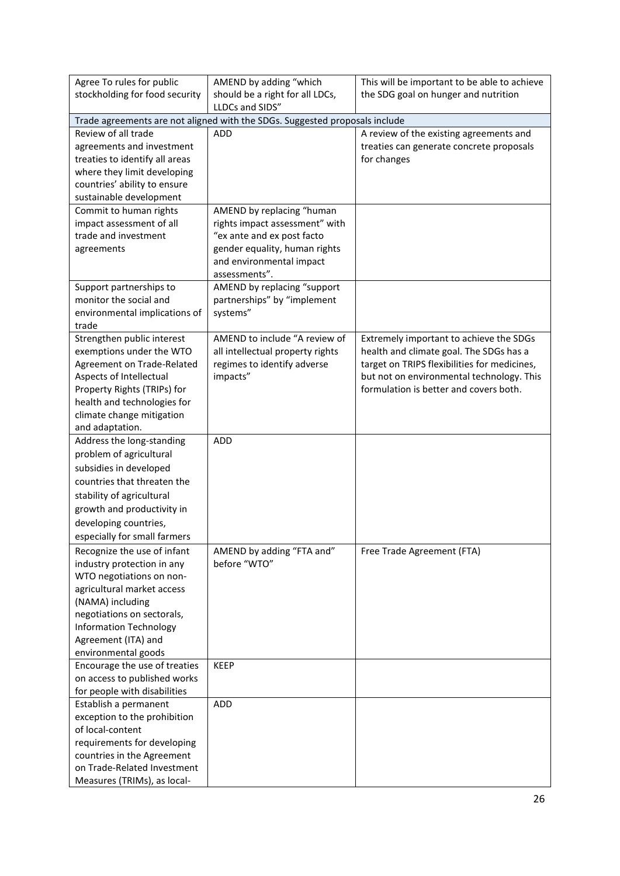| Agree To rules for public                             | AMEND by adding "which                                                      | This will be important to be able to achieve |  |  |
|-------------------------------------------------------|-----------------------------------------------------------------------------|----------------------------------------------|--|--|
| stockholding for food security                        | should be a right for all LDCs,                                             | the SDG goal on hunger and nutrition         |  |  |
|                                                       | LLDCs and SIDS"                                                             |                                              |  |  |
|                                                       | Trade agreements are not aligned with the SDGs. Suggested proposals include |                                              |  |  |
| Review of all trade                                   | <b>ADD</b>                                                                  | A review of the existing agreements and      |  |  |
| agreements and investment                             |                                                                             | treaties can generate concrete proposals     |  |  |
| treaties to identify all areas                        |                                                                             | for changes                                  |  |  |
| where they limit developing                           |                                                                             |                                              |  |  |
| countries' ability to ensure                          |                                                                             |                                              |  |  |
| sustainable development                               |                                                                             |                                              |  |  |
| Commit to human rights                                | AMEND by replacing "human                                                   |                                              |  |  |
| impact assessment of all                              | rights impact assessment" with                                              |                                              |  |  |
| trade and investment                                  | "ex ante and ex post facto                                                  |                                              |  |  |
| agreements                                            | gender equality, human rights                                               |                                              |  |  |
|                                                       | and environmental impact<br>assessments".                                   |                                              |  |  |
| Support partnerships to                               | AMEND by replacing "support                                                 |                                              |  |  |
| monitor the social and                                | partnerships" by "implement                                                 |                                              |  |  |
| environmental implications of                         | systems"                                                                    |                                              |  |  |
| trade                                                 |                                                                             |                                              |  |  |
| Strengthen public interest                            | AMEND to include "A review of                                               | Extremely important to achieve the SDGs      |  |  |
| exemptions under the WTO                              | all intellectual property rights                                            | health and climate goal. The SDGs has a      |  |  |
| Agreement on Trade-Related                            | regimes to identify adverse                                                 | target on TRIPS flexibilities for medicines, |  |  |
| Aspects of Intellectual                               | impacts"                                                                    | but not on environmental technology. This    |  |  |
| Property Rights (TRIPs) for                           |                                                                             | formulation is better and covers both.       |  |  |
| health and technologies for                           |                                                                             |                                              |  |  |
| climate change mitigation                             |                                                                             |                                              |  |  |
| and adaptation.                                       |                                                                             |                                              |  |  |
| Address the long-standing                             | <b>ADD</b>                                                                  |                                              |  |  |
| problem of agricultural                               |                                                                             |                                              |  |  |
| subsidies in developed                                |                                                                             |                                              |  |  |
| countries that threaten the                           |                                                                             |                                              |  |  |
| stability of agricultural                             |                                                                             |                                              |  |  |
| growth and productivity in                            |                                                                             |                                              |  |  |
| developing countries,                                 |                                                                             |                                              |  |  |
| especially for small farmers                          |                                                                             |                                              |  |  |
| Recognize the use of infant                           | AMEND by adding "FTA and"                                                   | Free Trade Agreement (FTA)                   |  |  |
| industry protection in any                            | before "WTO"                                                                |                                              |  |  |
| WTO negotiations on non-                              |                                                                             |                                              |  |  |
| agricultural market access                            |                                                                             |                                              |  |  |
| (NAMA) including                                      |                                                                             |                                              |  |  |
| negotiations on sectorals,                            |                                                                             |                                              |  |  |
| <b>Information Technology</b>                         |                                                                             |                                              |  |  |
| Agreement (ITA) and                                   |                                                                             |                                              |  |  |
| environmental goods                                   |                                                                             |                                              |  |  |
| Encourage the use of treaties                         | <b>KEEP</b>                                                                 |                                              |  |  |
| on access to published works                          |                                                                             |                                              |  |  |
| for people with disabilities                          |                                                                             |                                              |  |  |
| Establish a permanent<br>exception to the prohibition | ADD                                                                         |                                              |  |  |
| of local-content                                      |                                                                             |                                              |  |  |
| requirements for developing                           |                                                                             |                                              |  |  |
| countries in the Agreement                            |                                                                             |                                              |  |  |
| on Trade-Related Investment                           |                                                                             |                                              |  |  |
| Measures (TRIMs), as local-                           |                                                                             |                                              |  |  |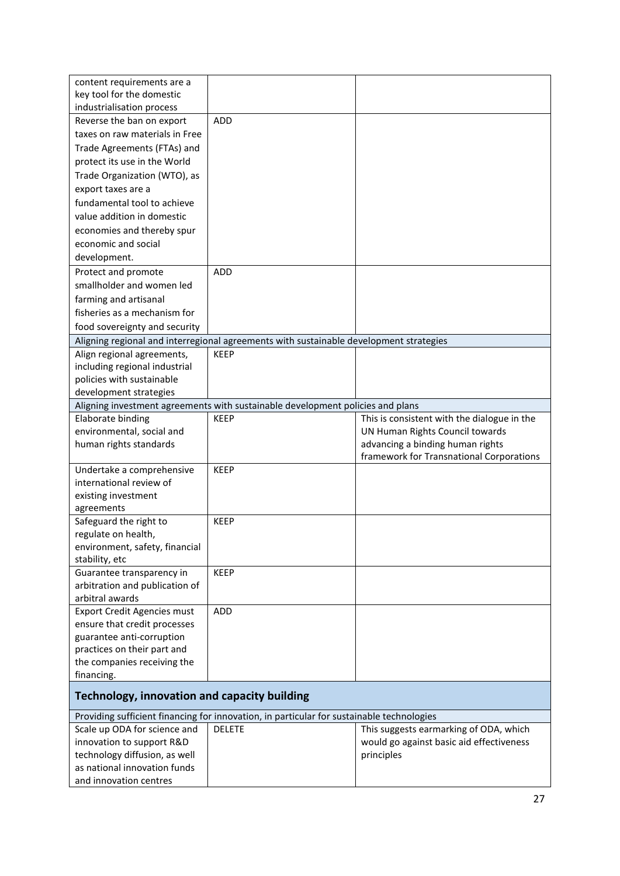| content requirements are a<br>key tool for the domestic |                                                                                           |                                             |
|---------------------------------------------------------|-------------------------------------------------------------------------------------------|---------------------------------------------|
| industrialisation process                               |                                                                                           |                                             |
| Reverse the ban on export                               | ADD                                                                                       |                                             |
| taxes on raw materials in Free                          |                                                                                           |                                             |
| Trade Agreements (FTAs) and                             |                                                                                           |                                             |
| protect its use in the World                            |                                                                                           |                                             |
| Trade Organization (WTO), as                            |                                                                                           |                                             |
| export taxes are a                                      |                                                                                           |                                             |
|                                                         |                                                                                           |                                             |
| fundamental tool to achieve                             |                                                                                           |                                             |
| value addition in domestic                              |                                                                                           |                                             |
| economies and thereby spur                              |                                                                                           |                                             |
| economic and social                                     |                                                                                           |                                             |
| development.                                            |                                                                                           |                                             |
| Protect and promote                                     | <b>ADD</b>                                                                                |                                             |
| smallholder and women led                               |                                                                                           |                                             |
| farming and artisanal                                   |                                                                                           |                                             |
| fisheries as a mechanism for                            |                                                                                           |                                             |
| food sovereignty and security                           |                                                                                           |                                             |
|                                                         | Aligning regional and interregional agreements with sustainable development strategies    |                                             |
| Align regional agreements,                              | <b>KEEP</b>                                                                               |                                             |
| including regional industrial                           |                                                                                           |                                             |
| policies with sustainable                               |                                                                                           |                                             |
| development strategies                                  |                                                                                           |                                             |
|                                                         | Aligning investment agreements with sustainable development policies and plans            |                                             |
| Elaborate binding                                       | <b>KEEP</b>                                                                               | This is consistent with the dialogue in the |
| environmental, social and                               |                                                                                           | UN Human Rights Council towards             |
| human rights standards                                  |                                                                                           | advancing a binding human rights            |
|                                                         |                                                                                           | framework for Transnational Corporations    |
| Undertake a comprehensive                               | <b>KEEP</b>                                                                               |                                             |
| international review of                                 |                                                                                           |                                             |
| existing investment                                     |                                                                                           |                                             |
| agreements                                              |                                                                                           |                                             |
| Safeguard the right to                                  | <b>KEEP</b>                                                                               |                                             |
| regulate on health,                                     |                                                                                           |                                             |
| environment, safety, financial                          |                                                                                           |                                             |
| stability, etc                                          |                                                                                           |                                             |
| Guarantee transparency in                               | <b>KEEP</b>                                                                               |                                             |
| arbitration and publication of                          |                                                                                           |                                             |
| arbitral awards                                         |                                                                                           |                                             |
| <b>Export Credit Agencies must</b>                      | <b>ADD</b>                                                                                |                                             |
| ensure that credit processes                            |                                                                                           |                                             |
| guarantee anti-corruption                               |                                                                                           |                                             |
| practices on their part and                             |                                                                                           |                                             |
| the companies receiving the                             |                                                                                           |                                             |
| financing.                                              |                                                                                           |                                             |
| <b>Technology, innovation and capacity building</b>     |                                                                                           |                                             |
|                                                         | Providing sufficient financing for innovation, in particular for sustainable technologies |                                             |
| Scale up ODA for science and                            | <b>DELETE</b>                                                                             | This suggests earmarking of ODA, which      |
| innovation to support R&D                               |                                                                                           | would go against basic aid effectiveness    |
| technology diffusion, as well                           |                                                                                           | principles                                  |
| as national innovation funds                            |                                                                                           |                                             |
|                                                         |                                                                                           |                                             |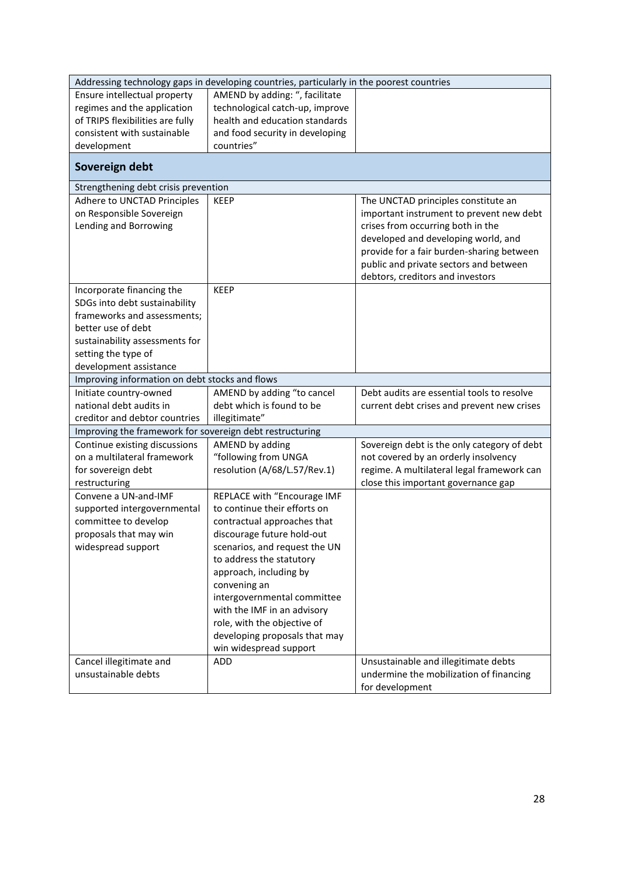| Addressing technology gaps in developing countries, particularly in the poorest countries |                                 |                                             |  |
|-------------------------------------------------------------------------------------------|---------------------------------|---------------------------------------------|--|
| Ensure intellectual property                                                              | AMEND by adding: ", facilitate  |                                             |  |
| regimes and the application                                                               | technological catch-up, improve |                                             |  |
| of TRIPS flexibilities are fully                                                          | health and education standards  |                                             |  |
| consistent with sustainable                                                               | and food security in developing |                                             |  |
| development                                                                               | countries"                      |                                             |  |
| Sovereign debt                                                                            |                                 |                                             |  |
| Strengthening debt crisis prevention                                                      |                                 |                                             |  |
| Adhere to UNCTAD Principles                                                               | <b>KEEP</b>                     | The UNCTAD principles constitute an         |  |
| on Responsible Sovereign                                                                  |                                 | important instrument to prevent new debt    |  |
| Lending and Borrowing                                                                     |                                 | crises from occurring both in the           |  |
|                                                                                           |                                 | developed and developing world, and         |  |
|                                                                                           |                                 | provide for a fair burden-sharing between   |  |
|                                                                                           |                                 | public and private sectors and between      |  |
|                                                                                           |                                 | debtors, creditors and investors            |  |
| Incorporate financing the                                                                 | <b>KEEP</b>                     |                                             |  |
| SDGs into debt sustainability                                                             |                                 |                                             |  |
| frameworks and assessments;                                                               |                                 |                                             |  |
| better use of debt                                                                        |                                 |                                             |  |
| sustainability assessments for                                                            |                                 |                                             |  |
| setting the type of                                                                       |                                 |                                             |  |
| development assistance                                                                    |                                 |                                             |  |
| Improving information on debt stocks and flows                                            |                                 |                                             |  |
| Initiate country-owned                                                                    | AMEND by adding "to cancel      | Debt audits are essential tools to resolve  |  |
| national debt audits in                                                                   | debt which is found to be       | current debt crises and prevent new crises  |  |
| creditor and debtor countries                                                             | illegitimate"                   |                                             |  |
| Improving the framework for sovereign debt restructuring                                  |                                 |                                             |  |
| Continue existing discussions                                                             | AMEND by adding                 | Sovereign debt is the only category of debt |  |
| on a multilateral framework                                                               | "following from UNGA            | not covered by an orderly insolvency        |  |
| for sovereign debt                                                                        | resolution (A/68/L.57/Rev.1)    | regime. A multilateral legal framework can  |  |
| restructuring                                                                             |                                 | close this important governance gap         |  |
| Convene a UN-and-IMF                                                                      | REPLACE with "Encourage IMF     |                                             |  |
| supported intergovernmental                                                               | to continue their efforts on    |                                             |  |
| committee to develop                                                                      | contractual approaches that     |                                             |  |
| proposals that may win                                                                    | discourage future hold-out      |                                             |  |
| widespread support                                                                        | scenarios, and request the UN   |                                             |  |
|                                                                                           | to address the statutory        |                                             |  |
|                                                                                           | approach, including by          |                                             |  |
|                                                                                           | convening an                    |                                             |  |
|                                                                                           | intergovernmental committee     |                                             |  |
|                                                                                           | with the IMF in an advisory     |                                             |  |
|                                                                                           | role, with the objective of     |                                             |  |
|                                                                                           | developing proposals that may   |                                             |  |
|                                                                                           | win widespread support          |                                             |  |
| Cancel illegitimate and<br>unsustainable debts                                            | ADD                             | Unsustainable and illegitimate debts        |  |
|                                                                                           |                                 | undermine the mobilization of financing     |  |
|                                                                                           |                                 | for development                             |  |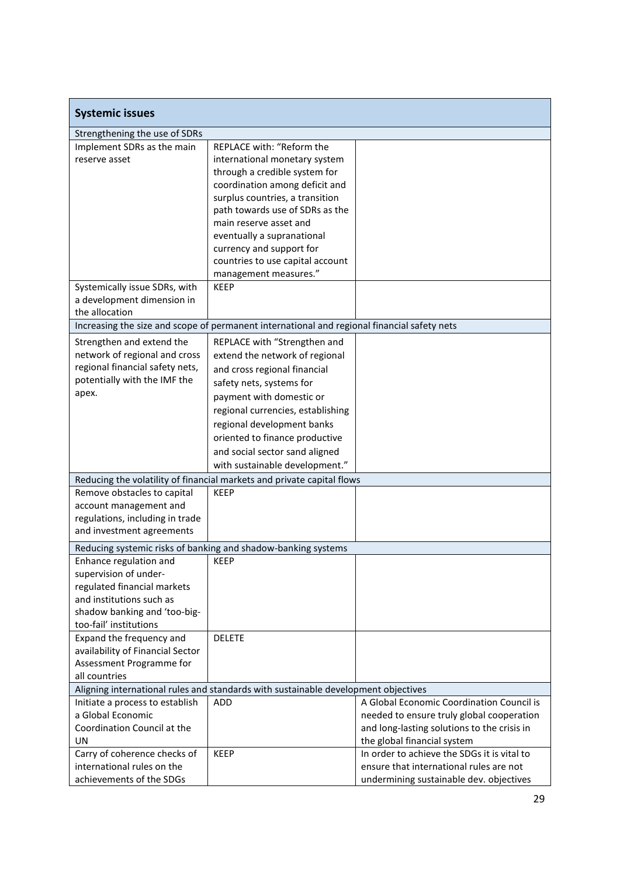| <b>Systemic issues</b>                                 |                                                                                             |                                             |
|--------------------------------------------------------|---------------------------------------------------------------------------------------------|---------------------------------------------|
| Strengthening the use of SDRs                          |                                                                                             |                                             |
| Implement SDRs as the main                             | REPLACE with: "Reform the                                                                   |                                             |
| reserve asset                                          | international monetary system                                                               |                                             |
|                                                        | through a credible system for                                                               |                                             |
|                                                        | coordination among deficit and                                                              |                                             |
|                                                        | surplus countries, a transition                                                             |                                             |
|                                                        | path towards use of SDRs as the                                                             |                                             |
|                                                        | main reserve asset and                                                                      |                                             |
|                                                        | eventually a supranational                                                                  |                                             |
|                                                        | currency and support for                                                                    |                                             |
|                                                        | countries to use capital account                                                            |                                             |
|                                                        | management measures."                                                                       |                                             |
| Systemically issue SDRs, with                          | <b>KEEP</b>                                                                                 |                                             |
| a development dimension in                             |                                                                                             |                                             |
| the allocation                                         |                                                                                             |                                             |
|                                                        | Increasing the size and scope of permanent international and regional financial safety nets |                                             |
| Strengthen and extend the                              | REPLACE with "Strengthen and                                                                |                                             |
| network of regional and cross                          | extend the network of regional                                                              |                                             |
| regional financial safety nets,                        | and cross regional financial                                                                |                                             |
| potentially with the IMF the                           | safety nets, systems for                                                                    |                                             |
| apex.                                                  | payment with domestic or                                                                    |                                             |
|                                                        | regional currencies, establishing                                                           |                                             |
|                                                        | regional development banks                                                                  |                                             |
|                                                        | oriented to finance productive                                                              |                                             |
|                                                        | and social sector sand aligned                                                              |                                             |
|                                                        | with sustainable development."                                                              |                                             |
|                                                        | Reducing the volatility of financial markets and private capital flows                      |                                             |
| Remove obstacles to capital                            | <b>KEEP</b>                                                                                 |                                             |
| account management and                                 |                                                                                             |                                             |
| regulations, including in trade                        |                                                                                             |                                             |
| and investment agreements                              |                                                                                             |                                             |
|                                                        |                                                                                             |                                             |
|                                                        | Reducing systemic risks of banking and shadow-banking systems                               |                                             |
| Enhance regulation and                                 | <b>KEEP</b>                                                                                 |                                             |
| supervision of under-                                  |                                                                                             |                                             |
| regulated financial markets                            |                                                                                             |                                             |
| and institutions such as                               |                                                                                             |                                             |
| shadow banking and 'too-big-<br>too-fail' institutions |                                                                                             |                                             |
| Expand the frequency and                               | <b>DELETE</b>                                                                               |                                             |
| availability of Financial Sector                       |                                                                                             |                                             |
| Assessment Programme for                               |                                                                                             |                                             |
| all countries                                          |                                                                                             |                                             |
|                                                        | Aligning international rules and standards with sustainable development objectives          |                                             |
| Initiate a process to establish                        | ADD                                                                                         | A Global Economic Coordination Council is   |
| a Global Economic                                      |                                                                                             | needed to ensure truly global cooperation   |
| Coordination Council at the                            |                                                                                             | and long-lasting solutions to the crisis in |
| UN                                                     |                                                                                             | the global financial system                 |
| Carry of coherence checks of                           | <b>KEEP</b>                                                                                 | In order to achieve the SDGs it is vital to |
| international rules on the                             |                                                                                             | ensure that international rules are not     |
| achievements of the SDGs                               |                                                                                             | undermining sustainable dev. objectives     |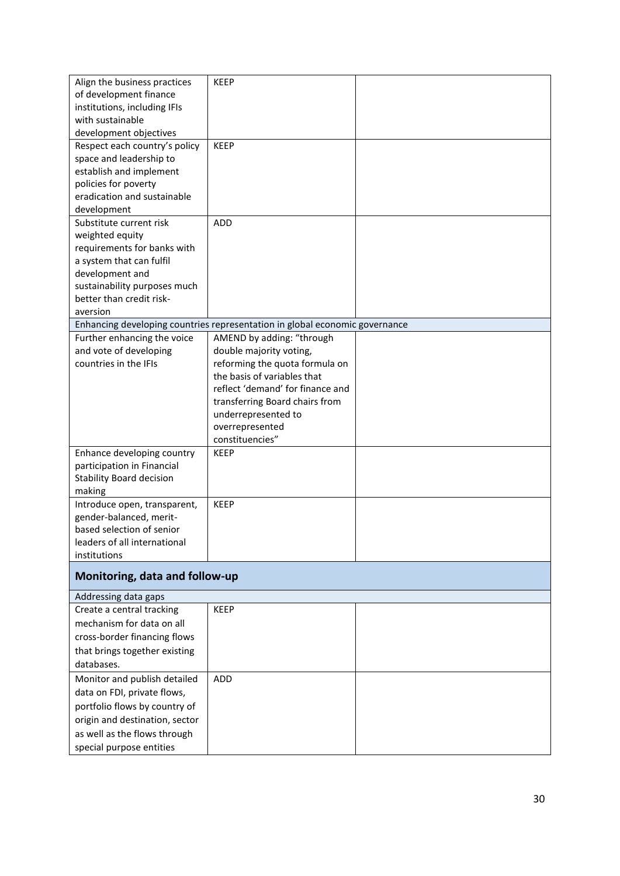| Align the business practices    | <b>KEEP</b>                                                                 |  |
|---------------------------------|-----------------------------------------------------------------------------|--|
| of development finance          |                                                                             |  |
| institutions, including IFIs    |                                                                             |  |
| with sustainable                |                                                                             |  |
| development objectives          |                                                                             |  |
| Respect each country's policy   | <b>KEEP</b>                                                                 |  |
| space and leadership to         |                                                                             |  |
| establish and implement         |                                                                             |  |
| policies for poverty            |                                                                             |  |
| eradication and sustainable     |                                                                             |  |
| development                     |                                                                             |  |
| Substitute current risk         | <b>ADD</b>                                                                  |  |
| weighted equity                 |                                                                             |  |
| requirements for banks with     |                                                                             |  |
| a system that can fulfil        |                                                                             |  |
| development and                 |                                                                             |  |
| sustainability purposes much    |                                                                             |  |
| better than credit risk-        |                                                                             |  |
| aversion                        |                                                                             |  |
|                                 | Enhancing developing countries representation in global economic governance |  |
| Further enhancing the voice     | AMEND by adding: "through                                                   |  |
| and vote of developing          | double majority voting,                                                     |  |
| countries in the IFIs           | reforming the quota formula on                                              |  |
|                                 | the basis of variables that                                                 |  |
|                                 | reflect 'demand' for finance and                                            |  |
|                                 | transferring Board chairs from                                              |  |
|                                 | underrepresented to                                                         |  |
|                                 | overrepresented                                                             |  |
|                                 | constituencies"                                                             |  |
| Enhance developing country      | <b>KEEP</b>                                                                 |  |
| participation in Financial      |                                                                             |  |
| <b>Stability Board decision</b> |                                                                             |  |
| making                          |                                                                             |  |
| Introduce open, transparent,    | <b>KEEP</b>                                                                 |  |
| gender-balanced, merit-         |                                                                             |  |
| based selection of senior       |                                                                             |  |
| leaders of all international    |                                                                             |  |
| institutions                    |                                                                             |  |
| Monitoring, data and follow-up  |                                                                             |  |
| Addressing data gaps            |                                                                             |  |
| Create a central tracking       | <b>KEEP</b>                                                                 |  |
| mechanism for data on all       |                                                                             |  |
| cross-border financing flows    |                                                                             |  |
| that brings together existing   |                                                                             |  |
| databases.                      |                                                                             |  |
| Monitor and publish detailed    | <b>ADD</b>                                                                  |  |
| data on FDI, private flows,     |                                                                             |  |
| portfolio flows by country of   |                                                                             |  |
| origin and destination, sector  |                                                                             |  |
| as well as the flows through    |                                                                             |  |
|                                 |                                                                             |  |
| special purpose entities        |                                                                             |  |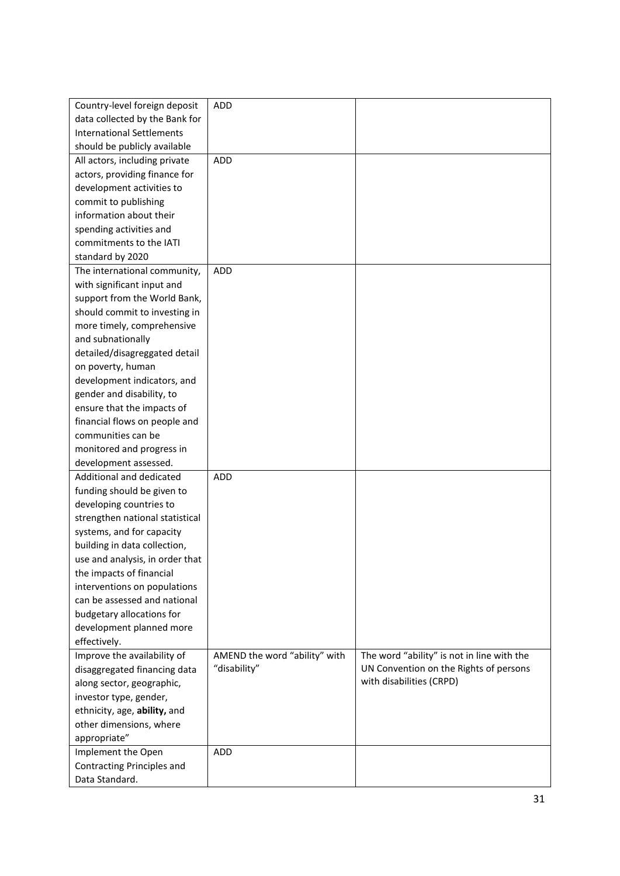| Country-level foreign deposit    | ADD                           |                                            |
|----------------------------------|-------------------------------|--------------------------------------------|
| data collected by the Bank for   |                               |                                            |
| <b>International Settlements</b> |                               |                                            |
| should be publicly available     |                               |                                            |
| All actors, including private    | ADD                           |                                            |
| actors, providing finance for    |                               |                                            |
| development activities to        |                               |                                            |
| commit to publishing             |                               |                                            |
| information about their          |                               |                                            |
| spending activities and          |                               |                                            |
| commitments to the IATI          |                               |                                            |
| standard by 2020                 |                               |                                            |
| The international community,     | ADD                           |                                            |
| with significant input and       |                               |                                            |
| support from the World Bank,     |                               |                                            |
| should commit to investing in    |                               |                                            |
| more timely, comprehensive       |                               |                                            |
| and subnationally                |                               |                                            |
| detailed/disagreggated detail    |                               |                                            |
| on poverty, human                |                               |                                            |
| development indicators, and      |                               |                                            |
| gender and disability, to        |                               |                                            |
| ensure that the impacts of       |                               |                                            |
| financial flows on people and    |                               |                                            |
| communities can be               |                               |                                            |
| monitored and progress in        |                               |                                            |
| development assessed.            |                               |                                            |
| Additional and dedicated         | ADD                           |                                            |
| funding should be given to       |                               |                                            |
| developing countries to          |                               |                                            |
| strengthen national statistical  |                               |                                            |
| systems, and for capacity        |                               |                                            |
| building in data collection,     |                               |                                            |
| use and analysis, in order that  |                               |                                            |
| the impacts of financial         |                               |                                            |
| interventions on populations     |                               |                                            |
| can be assessed and national     |                               |                                            |
| budgetary allocations for        |                               |                                            |
| development planned more         |                               |                                            |
| effectively.                     |                               |                                            |
| Improve the availability of      | AMEND the word "ability" with | The word "ability" is not in line with the |
| disaggregated financing data     | "disability"                  | UN Convention on the Rights of persons     |
| along sector, geographic,        |                               | with disabilities (CRPD)                   |
| investor type, gender,           |                               |                                            |
| ethnicity, age, ability, and     |                               |                                            |
| other dimensions, where          |                               |                                            |
| appropriate"                     |                               |                                            |
| Implement the Open               | <b>ADD</b>                    |                                            |
| Contracting Principles and       |                               |                                            |
| Data Standard.                   |                               |                                            |